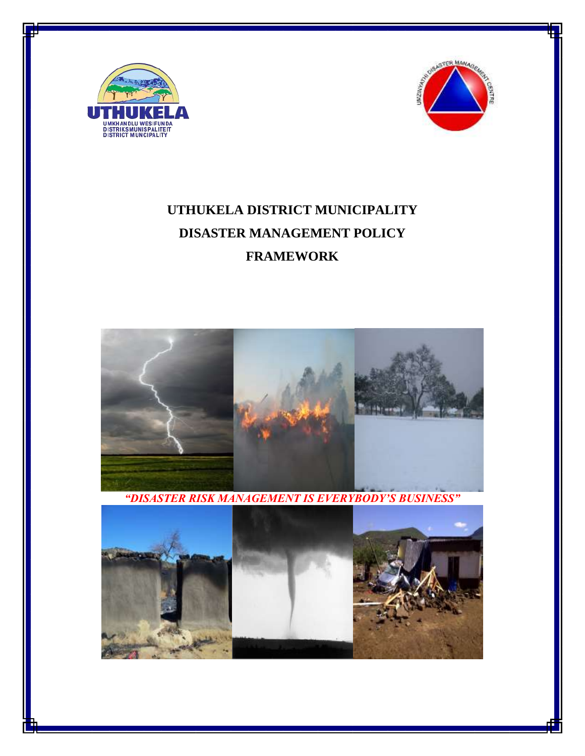



# **UTHUKELA DISTRICT MUNICIPALITY DISASTER MANAGEMENT POLICY FRAMEWORK**



*"DISASTER RISK MANAGEMENT IS EVERYBODY'S BUSINESS"*

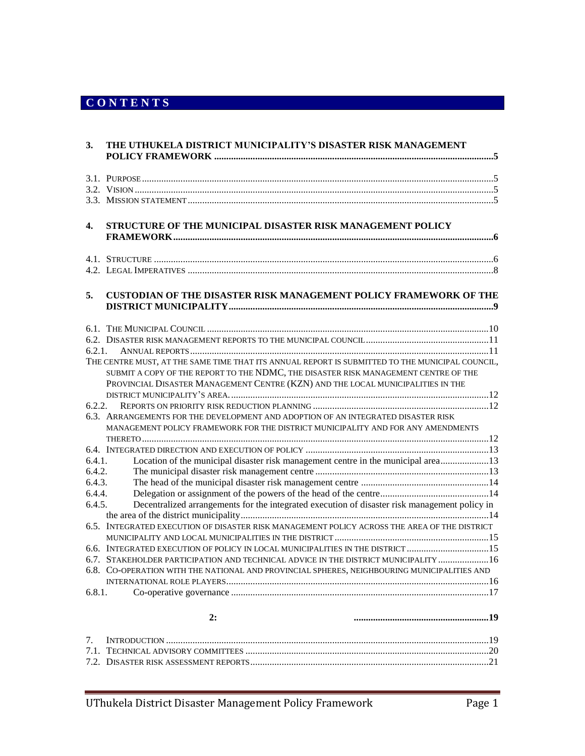# **C O N T E N T S**

| 3.     | THE UTHUKELA DISTRICT MUNICIPALITY'S DISASTER RISK MANAGEMENT                                                                                                          |
|--------|------------------------------------------------------------------------------------------------------------------------------------------------------------------------|
|        |                                                                                                                                                                        |
|        |                                                                                                                                                                        |
|        |                                                                                                                                                                        |
|        |                                                                                                                                                                        |
| 4.     | STRUCTURE OF THE MUNICIPAL DISASTER RISK MANAGEMENT POLICY                                                                                                             |
|        |                                                                                                                                                                        |
|        |                                                                                                                                                                        |
| 5.     | <b>CUSTODIAN OF THE DISASTER RISK MANAGEMENT POLICY FRAMEWORK OF THE</b>                                                                                               |
|        |                                                                                                                                                                        |
|        |                                                                                                                                                                        |
| 6.2.1. |                                                                                                                                                                        |
|        | THE CENTRE MUST, AT THE SAME TIME THAT ITS ANNUAL REPORT IS SUBMITTED TO THE MUNICIPAL COUNCIL,                                                                        |
|        | SUBMIT A COPY OF THE REPORT TO THE NDMC, THE DISASTER RISK MANAGEMENT CENTRE OF THE<br>PROVINCIAL DISASTER MANAGEMENT CENTRE (KZN) AND THE LOCAL MUNICIPALITIES IN THE |
|        |                                                                                                                                                                        |
| 6.2.2. |                                                                                                                                                                        |
|        | 6.3. ARRANGEMENTS FOR THE DEVELOPMENT AND ADOPTION OF AN INTEGRATED DISASTER RISK<br>MANAGEMENT POLICY FRAMEWORK FOR THE DISTRICT MUNICIPALITY AND FOR ANY AMENDMENTS  |
|        |                                                                                                                                                                        |
|        |                                                                                                                                                                        |
| 6.4.1. | Location of the municipal disaster risk management centre in the municipal area13                                                                                      |
| 6.4.2. |                                                                                                                                                                        |
| 6.4.3. |                                                                                                                                                                        |
| 6.4.4. |                                                                                                                                                                        |
| 6.4.5. | Decentralized arrangements for the integrated execution of disaster risk management policy in                                                                          |
|        | 6.5. INTEGRATED EXECUTION OF DISASTER RISK MANAGEMENT POLICY ACROSS THE AREA OF THE DISTRICT                                                                           |
|        |                                                                                                                                                                        |
|        | 6.6. INTEGRATED EXECUTION OF POLICY IN LOCAL MUNICIPALITIES IN THE DISTRICT 15                                                                                         |
|        | 6.7. STAKEHOLDER PARTICIPATION AND TECHNICAL ADVICE IN THE DISTRICT MUNICIPALITY  16                                                                                   |
|        | 6.8. CO-OPERATION WITH THE NATIONAL AND PROVINCIAL SPHERES, NEIGHBOURING MUNICIPALITIES AND                                                                            |
|        |                                                                                                                                                                        |
| 6.8.1. |                                                                                                                                                                        |
|        | 2:                                                                                                                                                                     |
| 7.     |                                                                                                                                                                        |
|        |                                                                                                                                                                        |
|        |                                                                                                                                                                        |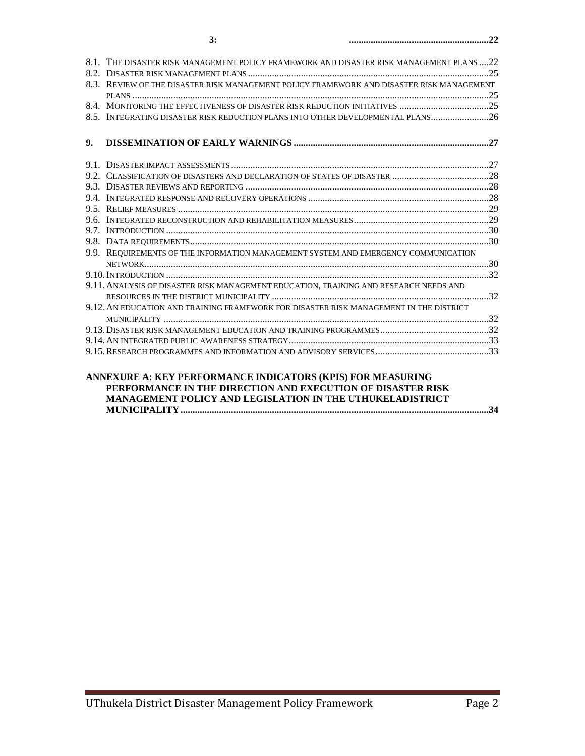| 8.1. THE DISASTER RISK MANAGEMENT POLICY FRAMEWORK AND DISASTER RISK MANAGEMENT PLANS 22                                             |  |
|--------------------------------------------------------------------------------------------------------------------------------------|--|
|                                                                                                                                      |  |
| 8.3. REVIEW OF THE DISASTER RISK MANAGEMENT POLICY FRAMEWORK AND DISASTER RISK MANAGEMENT                                            |  |
|                                                                                                                                      |  |
|                                                                                                                                      |  |
| 8.5. INTEGRATING DISASTER RISK REDUCTION PLANS INTO OTHER DEVELOPMENTAL PLANS26                                                      |  |
|                                                                                                                                      |  |
| 9.                                                                                                                                   |  |
|                                                                                                                                      |  |
|                                                                                                                                      |  |
|                                                                                                                                      |  |
|                                                                                                                                      |  |
|                                                                                                                                      |  |
|                                                                                                                                      |  |
|                                                                                                                                      |  |
|                                                                                                                                      |  |
|                                                                                                                                      |  |
| 9.9. REQUIREMENTS OF THE INFORMATION MANAGEMENT SYSTEM AND EMERGENCY COMMUNICATION                                                   |  |
|                                                                                                                                      |  |
|                                                                                                                                      |  |
| 9.11. ANALYSIS OF DISASTER RISK MANAGEMENT EDUCATION. TRAINING AND RESEARCH NEEDS AND                                                |  |
|                                                                                                                                      |  |
| 9.12. AN EDUCATION AND TRAINING FRAMEWORK FOR DISASTER RISK MANAGEMENT IN THE DISTRICT                                               |  |
|                                                                                                                                      |  |
|                                                                                                                                      |  |
|                                                                                                                                      |  |
|                                                                                                                                      |  |
|                                                                                                                                      |  |
| ANNEXURE A: KEY PERFORMANCE INDICATORS (KPIS) FOR MEASURING<br><b>DEDECDLU MOE IM THE DIDECTION AND EVECHITION OF DIGAGEED DIGIZ</b> |  |

#### **PERFORMANCE IN THE DIRECTION AND EXECUTION OF DISASTER RISK MANAGEMENT POLICY AND LEGISLATION IN THE UTHUKELADISTRICT MUNICIPALITY................................................................................................................................34**

#### KEY PERFORMANCE AREA **3:** DISASTER RISK REDUCTION **..........................................................22**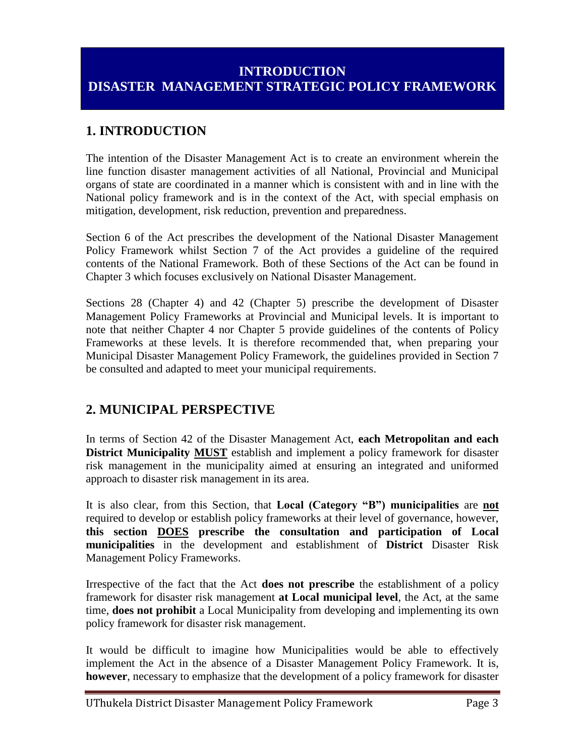# **INTRODUCTION DISASTER MANAGEMENT STRATEGIC POLICY FRAMEWORK**

# **1. INTRODUCTION**

The intention of the Disaster Management Act is to create an environment wherein the line function disaster management activities of all National, Provincial and Municipal organs of state are coordinated in a manner which is consistent with and in line with the National policy framework and is in the context of the Act, with special emphasis on mitigation, development, risk reduction, prevention and preparedness.

Section 6 of the Act prescribes the development of the National Disaster Management Policy Framework whilst Section 7 of the Act provides a guideline of the required contents of the National Framework. Both of these Sections of the Act can be found in Chapter 3 which focuses exclusively on National Disaster Management.

Sections 28 (Chapter 4) and 42 (Chapter 5) prescribe the development of Disaster Management Policy Frameworks at Provincial and Municipal levels. It is important to note that neither Chapter 4 nor Chapter 5 provide guidelines of the contents of Policy Frameworks at these levels. It is therefore recommended that, when preparing your Municipal Disaster Management Policy Framework, the guidelines provided in Section 7 be consulted and adapted to meet your municipal requirements.

## **2. MUNICIPAL PERSPECTIVE**

In terms of Section 42 of the Disaster Management Act, **each Metropolitan and each District Municipality MUST** establish and implement a policy framework for disaster risk management in the municipality aimed at ensuring an integrated and uniformed approach to disaster risk management in its area.

It is also clear, from this Section, that **Local (Category "B") municipalities** are **not** required to develop or establish policy frameworks at their level of governance, however, **this section DOES prescribe the consultation and participation of Local municipalities** in the development and establishment of **District** Disaster Risk Management Policy Frameworks.

Irrespective of the fact that the Act **does not prescribe** the establishment of a policy framework for disaster risk management **at Local municipal level**, the Act, at the same time, **does not prohibit** a Local Municipality from developing and implementing its own policy framework for disaster risk management.

It would be difficult to imagine how Municipalities would be able to effectively implement the Act in the absence of a Disaster Management Policy Framework. It is, **however**, necessary to emphasize that the development of a policy framework for disaster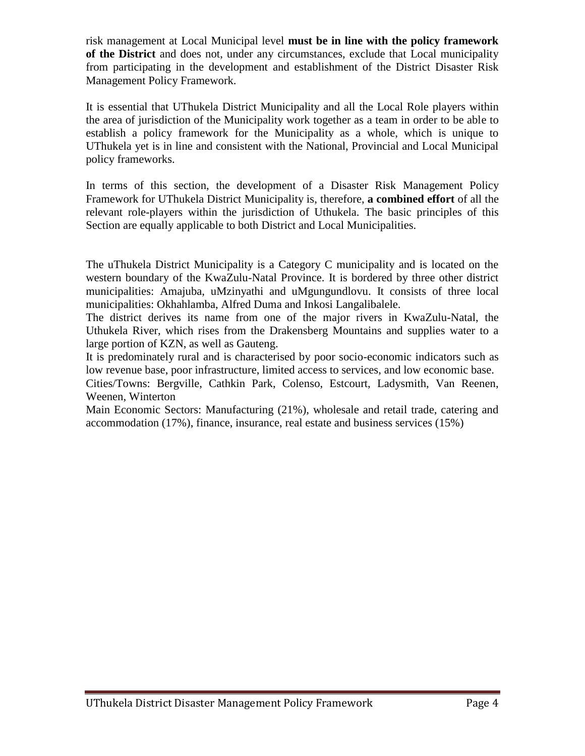risk management at Local Municipal level **must be in line with the policy framework of the District** and does not, under any circumstances, exclude that Local municipality from participating in the development and establishment of the District Disaster Risk Management Policy Framework.

It is essential that UThukela District Municipality and all the Local Role players within the area of jurisdiction of the Municipality work together as a team in order to be able to establish a policy framework for the Municipality as a whole, which is unique to UThukela yet is in line and consistent with the National, Provincial and Local Municipal policy frameworks.

In terms of this section, the development of a Disaster Risk Management Policy Framework for UThukela District Municipality is, therefore, **a combined effort** of all the relevant role-players within the jurisdiction of Uthukela. The basic principles of this Section are equally applicable to both District and Local Municipalities.

The uThukela District Municipality is a Category C municipality and is located on the western boundary of the KwaZulu-Natal Province. It is bordered by three other district municipalities: Amajuba, uMzinyathi and uMgungundlovu. It consists of three local municipalities: Okhahlamba, Alfred Duma and Inkosi Langalibalele.

The district derives its name from one of the major rivers in KwaZulu-Natal, the Uthukela River, which rises from the Drakensberg Mountains and supplies water to a large portion of KZN, as well as Gauteng.

It is predominately rural and is characterised by poor socio-economic indicators such as low revenue base, poor infrastructure, limited access to services, and low economic base.

Cities/Towns: Bergville, Cathkin Park, Colenso, Estcourt, Ladysmith, Van Reenen, Weenen, Winterton

Main Economic Sectors: Manufacturing (21%), wholesale and retail trade, catering and accommodation (17%), finance, insurance, real estate and business services (15%)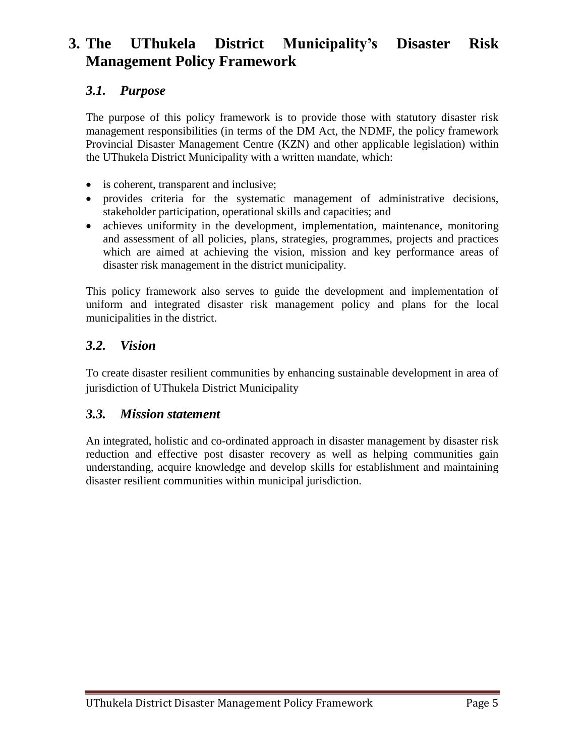# **3. The UThukela District Municipality's Disaster Risk Management Policy Framework**

# *3.1. Purpose*

The purpose of this policy framework is to provide those with statutory disaster risk management responsibilities (in terms of the DM Act, the NDMF, the policy framework Provincial Disaster Management Centre (KZN) and other applicable legislation) within the UThukela District Municipality with a written mandate, which:

- is coherent, transparent and inclusive;
- provides criteria for the systematic management of administrative decisions, stakeholder participation, operational skills and capacities; and
- achieves uniformity in the development, implementation, maintenance, monitoring and assessment of all policies, plans, strategies, programmes, projects and practices which are aimed at achieving the vision, mission and key performance areas of disaster risk management in the district municipality.

This policy framework also serves to guide the development and implementation of uniform and integrated disaster risk management policy and plans for the local municipalities in the district.

#### *3.2. Vision*

To create disaster resilient communities by enhancing sustainable development in area of jurisdiction of UThukela District Municipality

#### *3.3. Mission statement*

An integrated, holistic and co-ordinated approach in disaster management by disaster risk reduction and effective post disaster recovery as well as helping communities gain understanding, acquire knowledge and develop skills for establishment and maintaining disaster resilient communities within municipal jurisdiction.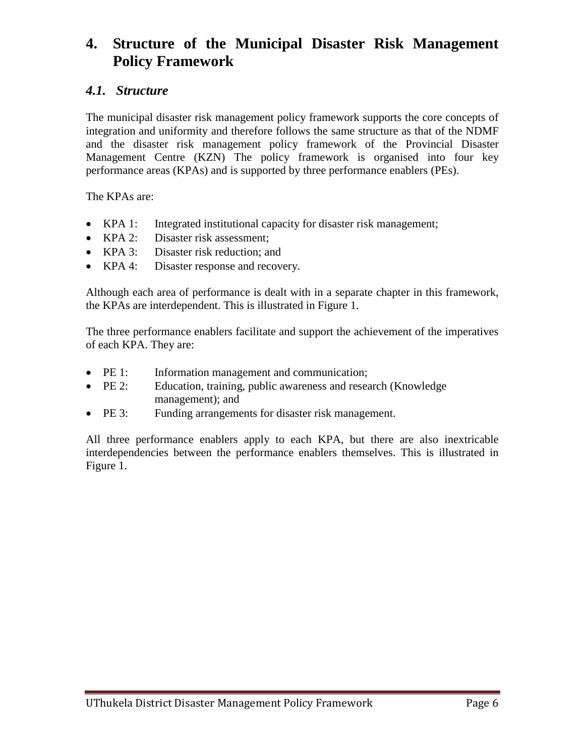# **4. Structure of the Municipal Disaster Risk Management Policy Framework**

#### *4.1. Structure*

The municipal disaster risk management policy framework supports the core concepts of integration and uniformity and therefore follows the same structure as that of the NDMF and the disaster risk management policy framework of the Provincial Disaster Management Centre (KZN) The policy framework is organised into four key performance areas (KPAs) and is supported by three performance enablers (PEs).

The KPAs are:

- KPA 1: Integrated institutional capacity for disaster risk management;
- KPA 2: Disaster risk assessment;
- KPA 3: Disaster risk reduction; and
- KPA 4: Disaster response and recovery.

Although each area of performance is dealt with in a separate chapter in this framework, the KPAs are interdependent. This is illustrated in Figure 1.

The three performance enablers facilitate and support the achievement of the imperatives of each KPA. They are:

- PE 1: Information management and communication;
- PE 2: Education, training, public awareness and research (Knowledge) management); and
- PE 3: Funding arrangements for disaster risk management.

All three performance enablers apply to each KPA, but there are also inextricable interdependencies between the performance enablers themselves. This is illustrated in Figure 1.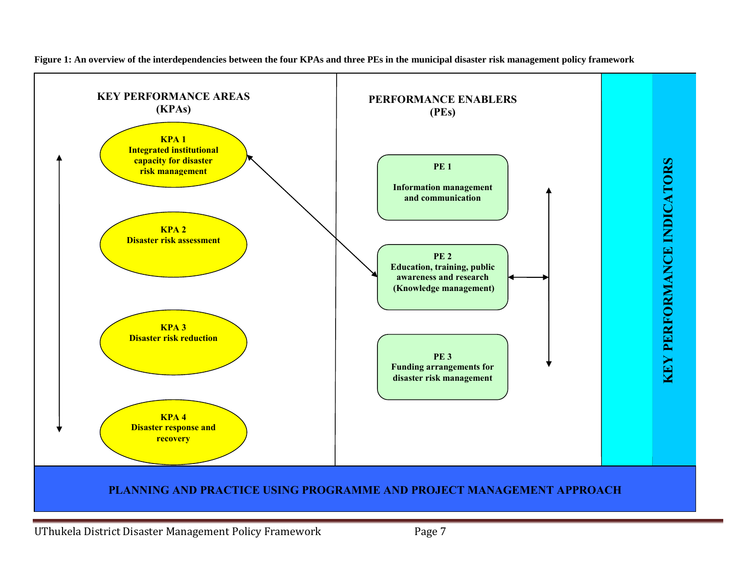

**Figure 1: An overview of the interdependencies between the four KPAs and three PEs in the municipal disaster risk management policy framework**

UThukela District Disaster Management Policy Framework Page 7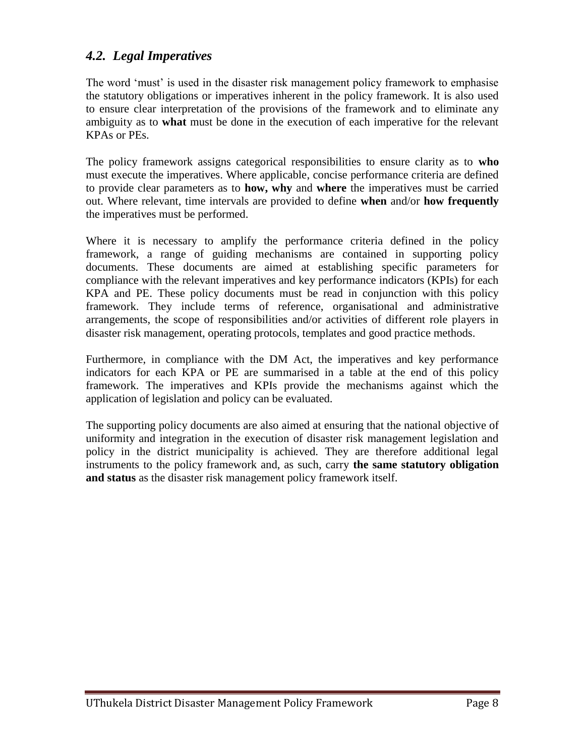#### *4.2. Legal Imperatives*

The word 'must' is used in the disaster risk management policy framework to emphasise the statutory obligations or imperatives inherent in the policy framework. It is also used to ensure clear interpretation of the provisions of the framework and to eliminate any ambiguity as to **what** must be done in the execution of each imperative for the relevant KPAs or PEs.

The policy framework assigns categorical responsibilities to ensure clarity as to **who** must execute the imperatives. Where applicable, concise performance criteria are defined to provide clear parameters as to **how, why** and **where** the imperatives must be carried out. Where relevant, time intervals are provided to define **when** and/or **how frequently** the imperatives must be performed.

Where it is necessary to amplify the performance criteria defined in the policy framework, a range of guiding mechanisms are contained in supporting policy documents. These documents are aimed at establishing specific parameters for compliance with the relevant imperatives and key performance indicators (KPIs) for each KPA and PE. These policy documents must be read in conjunction with this policy framework. They include terms of reference, organisational and administrative arrangements, the scope of responsibilities and/or activities of different role players in disaster risk management, operating protocols, templates and good practice methods.

Furthermore, in compliance with the DM Act, the imperatives and key performance indicators for each KPA or PE are summarised in a table at the end of this policy framework. The imperatives and KPIs provide the mechanisms against which the application of legislation and policy can be evaluated.

The supporting policy documents are also aimed at ensuring that the national objective of uniformity and integration in the execution of disaster risk management legislation and policy in the district municipality is achieved. They are therefore additional legal instruments to the policy framework and, as such, carry **the same statutory obligation and status** as the disaster risk management policy framework itself.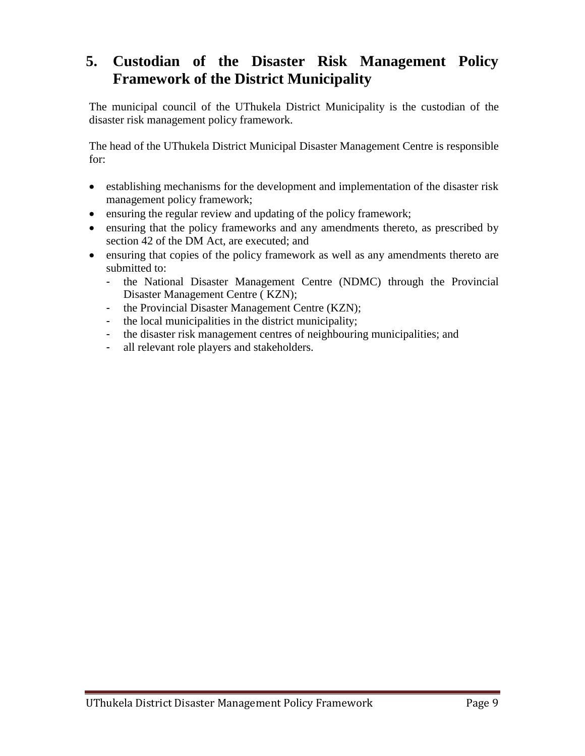# **5. Custodian of the Disaster Risk Management Policy Framework of the District Municipality**

The municipal council of the UThukela District Municipality is the custodian of the disaster risk management policy framework.

The head of the UThukela District Municipal Disaster Management Centre is responsible for:

- establishing mechanisms for the development and implementation of the disaster risk management policy framework;
- ensuring the regular review and updating of the policy framework;
- ensuring that the policy frameworks and any amendments thereto, as prescribed by section 42 of the DM Act, are executed; and
- ensuring that copies of the policy framework as well as any amendments thereto are submitted to:
	- the National Disaster Management Centre (NDMC) through the Provincial Disaster Management Centre ( KZN);
	- the Provincial Disaster Management Centre (KZN);
	- the local municipalities in the district municipality;
	- the disaster risk management centres of neighbouring municipalities; and
	- all relevant role players and stakeholders.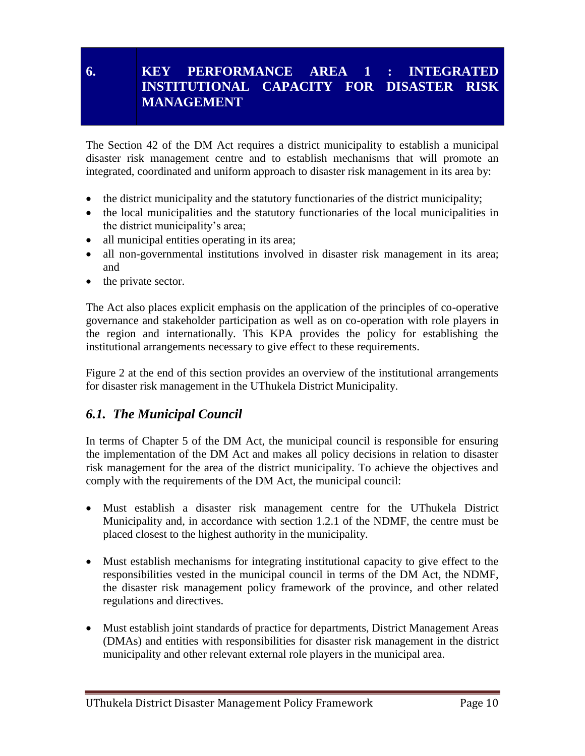## **6. KEY PERFORMANCE AREA 1 : INTEGRATED INSTITUTIONAL CAPACITY FOR DISASTER RISK MANAGEMENT**

The Section 42 of the DM Act requires a district municipality to establish a municipal disaster risk management centre and to establish mechanisms that will promote an integrated, coordinated and uniform approach to disaster risk management in its area by:

- the district municipality and the statutory functionaries of the district municipality;
- the local municipalities and the statutory functionaries of the local municipalities in the district municipality's area;
- all municipal entities operating in its area;
- all non-governmental institutions involved in disaster risk management in its area; and
- the private sector.

The Act also places explicit emphasis on the application of the principles of co-operative governance and stakeholder participation as well as on co-operation with role players in the region and internationally. This KPA provides the policy for establishing the institutional arrangements necessary to give effect to these requirements.

Figure 2 at the end of this section provides an overview of the institutional arrangements for disaster risk management in the UThukela District Municipality.

## *6.1. The Municipal Council*

In terms of Chapter 5 of the DM Act, the municipal council is responsible for ensuring the implementation of the DM Act and makes all policy decisions in relation to disaster risk management for the area of the district municipality. To achieve the objectives and comply with the requirements of the DM Act, the municipal council:

- Must establish a disaster risk management centre for the UThukela District Municipality and, in accordance with section 1.2.1 of the NDMF, the centre must be placed closest to the highest authority in the municipality.
- Must establish mechanisms for integrating institutional capacity to give effect to the responsibilities vested in the municipal council in terms of the DM Act, the NDMF, the disaster risk management policy framework of the province, and other related regulations and directives.
- Must establish joint standards of practice for departments, District Management Areas (DMAs) and entities with responsibilities for disaster risk management in the district municipality and other relevant external role players in the municipal area.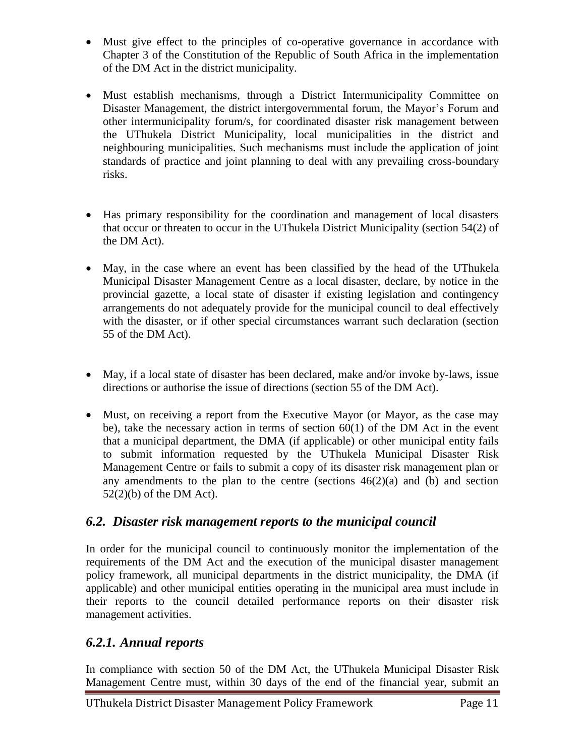- Must give effect to the principles of co-operative governance in accordance with Chapter 3 of the Constitution of the Republic of South Africa in the implementation of the DM Act in the district municipality.
- Must establish mechanisms, through a District Intermunicipality Committee on Disaster Management, the district intergovernmental forum, the Mayor's Forum and other intermunicipality forum/s, for coordinated disaster risk management between the UThukela District Municipality, local municipalities in the district and neighbouring municipalities. Such mechanisms must include the application of joint standards of practice and joint planning to deal with any prevailing cross-boundary risks.
- Has primary responsibility for the coordination and management of local disasters that occur or threaten to occur in the UThukela District Municipality (section 54(2) of the DM Act).
- May, in the case where an event has been classified by the head of the UThukela Municipal Disaster Management Centre as a local disaster, declare, by notice in the provincial gazette, a local state of disaster if existing legislation and contingency arrangements do not adequately provide for the municipal council to deal effectively with the disaster, or if other special circumstances warrant such declaration (section 55 of the DM Act).
- May, if a local state of disaster has been declared, make and/or invoke by-laws, issue directions or authorise the issue of directions (section 55 of the DM Act).
- Must, on receiving a report from the Executive Mayor (or Mayor, as the case may be), take the necessary action in terms of section  $60(1)$  of the DM Act in the event that a municipal department, the DMA (if applicable) or other municipal entity fails to submit information requested by the UThukela Municipal Disaster Risk Management Centre or fails to submit a copy of its disaster risk management plan or any amendments to the plan to the centre (sections  $46(2)(a)$  and (b) and section 52(2)(b) of the DM Act).

# *6.2. Disaster risk management reports to the municipal council*

In order for the municipal council to continuously monitor the implementation of the requirements of the DM Act and the execution of the municipal disaster management policy framework, all municipal departments in the district municipality, the DMA (if applicable) and other municipal entities operating in the municipal area must include in their reports to the council detailed performance reports on their disaster risk management activities.

# *6.2.1. Annual reports*

In compliance with section 50 of the DM Act, the UThukela Municipal Disaster Risk Management Centre must, within 30 days of the end of the financial year, submit an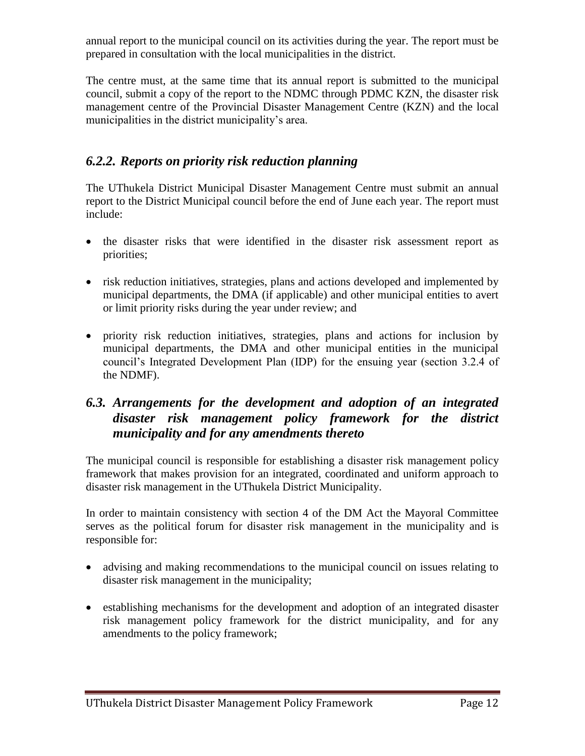annual report to the municipal council on its activities during the year. The report must be prepared in consultation with the local municipalities in the district.

The centre must, at the same time that its annual report is submitted to the municipal council, submit a copy of the report to the NDMC through PDMC KZN, the disaster risk management centre of the Provincial Disaster Management Centre (KZN) and the local municipalities in the district municipality's area.

# *6.2.2. Reports on priority risk reduction planning*

The UThukela District Municipal Disaster Management Centre must submit an annual report to the District Municipal council before the end of June each year. The report must include:

- the disaster risks that were identified in the disaster risk assessment report as priorities;
- risk reduction initiatives, strategies, plans and actions developed and implemented by municipal departments, the DMA (if applicable) and other municipal entities to avert or limit priority risks during the year under review; and
- priority risk reduction initiatives, strategies, plans and actions for inclusion by municipal departments, the DMA and other municipal entities in the municipal council's Integrated Development Plan (IDP) for the ensuing year (section 3.2.4 of the NDMF).

### *6.3. Arrangements for the development and adoption of an integrated disaster risk management policy framework for the district municipality and for any amendments thereto*

The municipal council is responsible for establishing a disaster risk management policy framework that makes provision for an integrated, coordinated and uniform approach to disaster risk management in the UThukela District Municipality.

In order to maintain consistency with section 4 of the DM Act the Mayoral Committee serves as the political forum for disaster risk management in the municipality and is responsible for:

- advising and making recommendations to the municipal council on issues relating to disaster risk management in the municipality;
- establishing mechanisms for the development and adoption of an integrated disaster risk management policy framework for the district municipality, and for any amendments to the policy framework;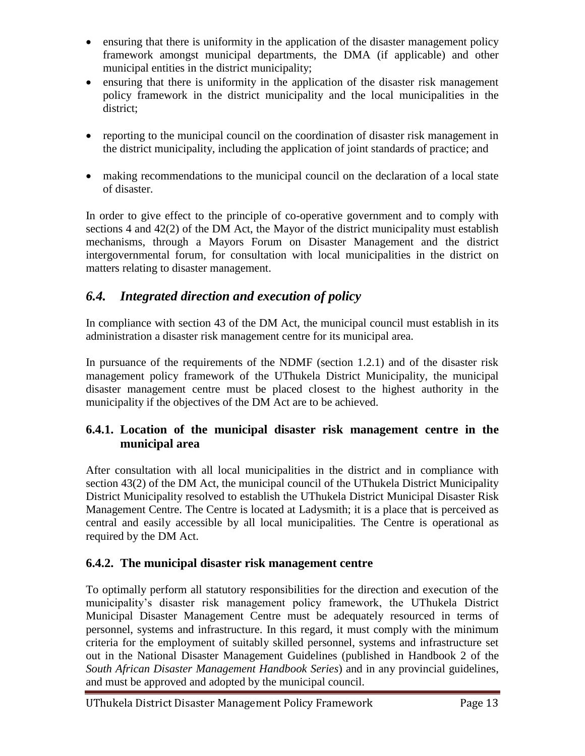- ensuring that there is uniformity in the application of the disaster management policy framework amongst municipal departments, the DMA (if applicable) and other municipal entities in the district municipality;
- ensuring that there is uniformity in the application of the disaster risk management policy framework in the district municipality and the local municipalities in the district;
- reporting to the municipal council on the coordination of disaster risk management in the district municipality, including the application of joint standards of practice; and
- making recommendations to the municipal council on the declaration of a local state of disaster.

In order to give effect to the principle of co-operative government and to comply with sections 4 and 42(2) of the DM Act, the Mayor of the district municipality must establish mechanisms, through a Mayors Forum on Disaster Management and the district intergovernmental forum, for consultation with local municipalities in the district on matters relating to disaster management.

# *6.4. Integrated direction and execution of policy*

In compliance with section 43 of the DM Act, the municipal council must establish in its administration a disaster risk management centre for its municipal area.

In pursuance of the requirements of the NDMF (section 1.2.1) and of the disaster risk management policy framework of the UThukela District Municipality, the municipal disaster management centre must be placed closest to the highest authority in the municipality if the objectives of the DM Act are to be achieved.

#### **6.4.1. Location of the municipal disaster risk management centre in the municipal area**

After consultation with all local municipalities in the district and in compliance with section 43(2) of the DM Act, the municipal council of the UThukela District Municipality District Municipality resolved to establish the UThukela District Municipal Disaster Risk Management Centre. The Centre is located at Ladysmith; it is a place that is perceived as central and easily accessible by all local municipalities. The Centre is operational as required by the DM Act.

#### **6.4.2. The municipal disaster risk management centre**

To optimally perform all statutory responsibilities for the direction and execution of the municipality's disaster risk management policy framework, the UThukela District Municipal Disaster Management Centre must be adequately resourced in terms of personnel, systems and infrastructure. In this regard, it must comply with the minimum criteria for the employment of suitably skilled personnel, systems and infrastructure set out in the National Disaster Management Guidelines (published in Handbook 2 of the *South African Disaster Management Handbook Series*) and in any provincial guidelines, and must be approved and adopted by the municipal council.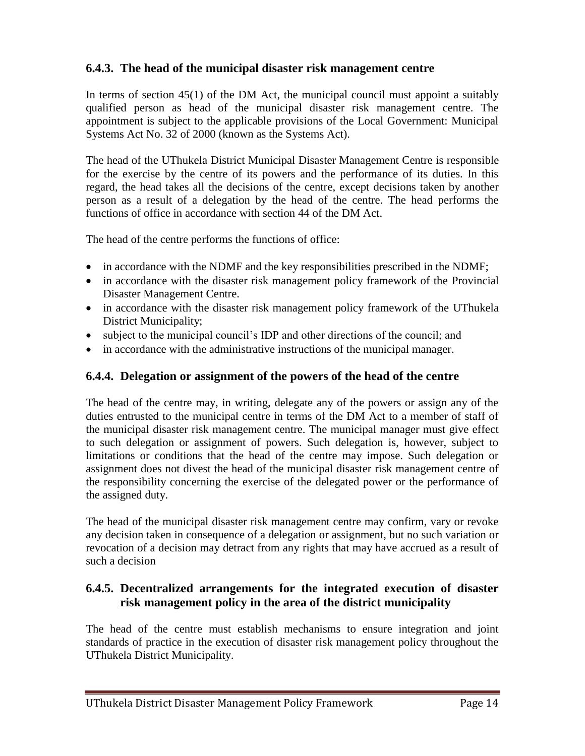#### **6.4.3. The head of the municipal disaster risk management centre**

In terms of section  $45(1)$  of the DM Act, the municipal council must appoint a suitably qualified person as head of the municipal disaster risk management centre. The appointment is subject to the applicable provisions of the Local Government: Municipal Systems Act No. 32 of 2000 (known as the Systems Act).

The head of the UThukela District Municipal Disaster Management Centre is responsible for the exercise by the centre of its powers and the performance of its duties. In this regard, the head takes all the decisions of the centre, except decisions taken by another person as a result of a delegation by the head of the centre. The head performs the functions of office in accordance with section 44 of the DM Act.

The head of the centre performs the functions of office:

- in accordance with the NDMF and the key responsibilities prescribed in the NDMF;
- in accordance with the disaster risk management policy framework of the Provincial Disaster Management Centre.
- in accordance with the disaster risk management policy framework of the UThukela District Municipality;
- subject to the municipal council's IDP and other directions of the council; and
- in accordance with the administrative instructions of the municipal manager.

#### **6.4.4. Delegation or assignment of the powers of the head of the centre**

The head of the centre may, in writing, delegate any of the powers or assign any of the duties entrusted to the municipal centre in terms of the DM Act to a member of staff of the municipal disaster risk management centre. The municipal manager must give effect to such delegation or assignment of powers. Such delegation is, however, subject to limitations or conditions that the head of the centre may impose. Such delegation or assignment does not divest the head of the municipal disaster risk management centre of the responsibility concerning the exercise of the delegated power or the performance of the assigned duty.

The head of the municipal disaster risk management centre may confirm, vary or revoke any decision taken in consequence of a delegation or assignment, but no such variation or revocation of a decision may detract from any rights that may have accrued as a result of such a decision

#### **6.4.5. Decentralized arrangements for the integrated execution of disaster risk management policy in the area of the district municipality**

The head of the centre must establish mechanisms to ensure integration and joint standards of practice in the execution of disaster risk management policy throughout the UThukela District Municipality.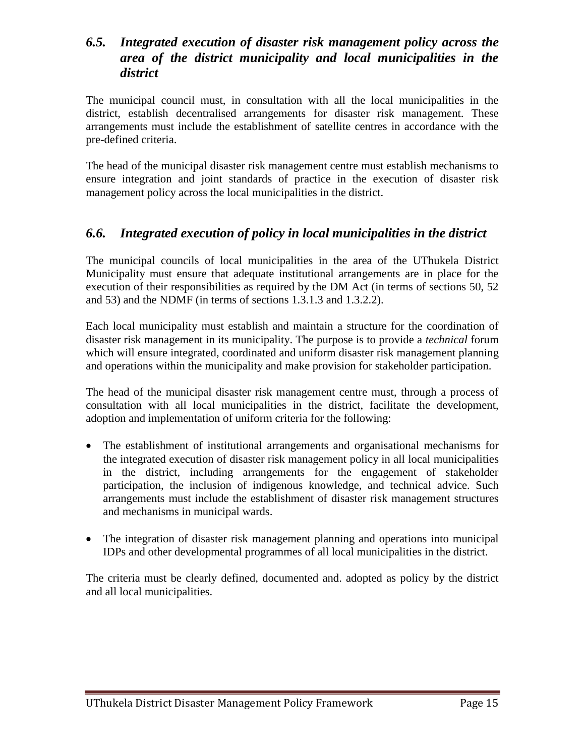#### *6.5. Integrated execution of disaster risk management policy across the area of the district municipality and local municipalities in the district*

The municipal council must, in consultation with all the local municipalities in the district, establish decentralised arrangements for disaster risk management. These arrangements must include the establishment of satellite centres in accordance with the pre-defined criteria.

The head of the municipal disaster risk management centre must establish mechanisms to ensure integration and joint standards of practice in the execution of disaster risk management policy across the local municipalities in the district.

#### *6.6. Integrated execution of policy in local municipalities in the district*

The municipal councils of local municipalities in the area of the UThukela District Municipality must ensure that adequate institutional arrangements are in place for the execution of their responsibilities as required by the DM Act (in terms of sections 50, 52 and 53) and the NDMF (in terms of sections 1.3.1.3 and 1.3.2.2).

Each local municipality must establish and maintain a structure for the coordination of disaster risk management in its municipality. The purpose is to provide a *technical* forum which will ensure integrated, coordinated and uniform disaster risk management planning and operations within the municipality and make provision for stakeholder participation.

The head of the municipal disaster risk management centre must, through a process of consultation with all local municipalities in the district, facilitate the development, adoption and implementation of uniform criteria for the following:

- The establishment of institutional arrangements and organisational mechanisms for the integrated execution of disaster risk management policy in all local municipalities in the district, including arrangements for the engagement of stakeholder participation, the inclusion of indigenous knowledge, and technical advice. Such arrangements must include the establishment of disaster risk management structures and mechanisms in municipal wards.
- The integration of disaster risk management planning and operations into municipal IDPs and other developmental programmes of all local municipalities in the district.

The criteria must be clearly defined, documented and. adopted as policy by the district and all local municipalities.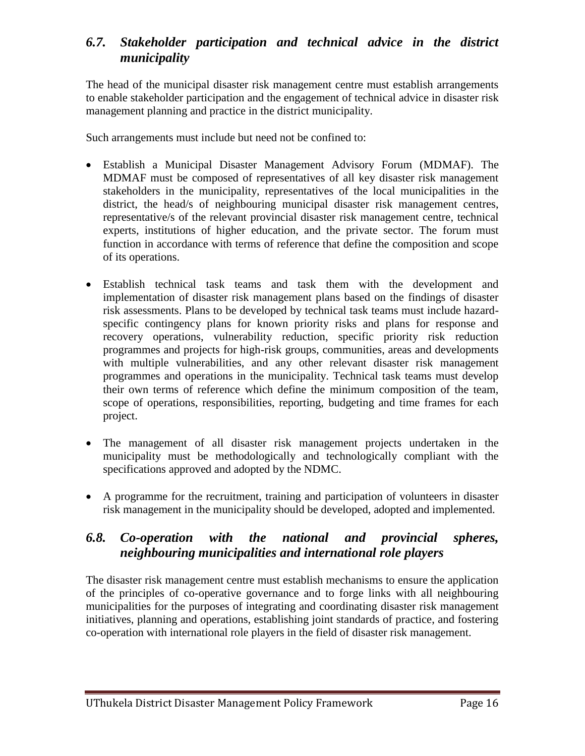## *6.7. Stakeholder participation and technical advice in the district municipality*

The head of the municipal disaster risk management centre must establish arrangements to enable stakeholder participation and the engagement of technical advice in disaster risk management planning and practice in the district municipality.

Such arrangements must include but need not be confined to:

- Establish a Municipal Disaster Management Advisory Forum (MDMAF). The MDMAF must be composed of representatives of all key disaster risk management stakeholders in the municipality, representatives of the local municipalities in the district, the head/s of neighbouring municipal disaster risk management centres, representative/s of the relevant provincial disaster risk management centre, technical experts, institutions of higher education, and the private sector. The forum must function in accordance with terms of reference that define the composition and scope of its operations.
- Establish technical task teams and task them with the development and implementation of disaster risk management plans based on the findings of disaster risk assessments. Plans to be developed by technical task teams must include hazardspecific contingency plans for known priority risks and plans for response and recovery operations, vulnerability reduction, specific priority risk reduction programmes and projects for high-risk groups, communities, areas and developments with multiple vulnerabilities, and any other relevant disaster risk management programmes and operations in the municipality. Technical task teams must develop their own terms of reference which define the minimum composition of the team, scope of operations, responsibilities, reporting, budgeting and time frames for each project.
- The management of all disaster risk management projects undertaken in the municipality must be methodologically and technologically compliant with the specifications approved and adopted by the NDMC.
- A programme for the recruitment, training and participation of volunteers in disaster risk management in the municipality should be developed, adopted and implemented.

#### *6.8. Co-operation with the national and provincial spheres, neighbouring municipalities and international role players*

The disaster risk management centre must establish mechanisms to ensure the application of the principles of co-operative governance and to forge links with all neighbouring municipalities for the purposes of integrating and coordinating disaster risk management initiatives, planning and operations, establishing joint standards of practice, and fostering co-operation with international role players in the field of disaster risk management.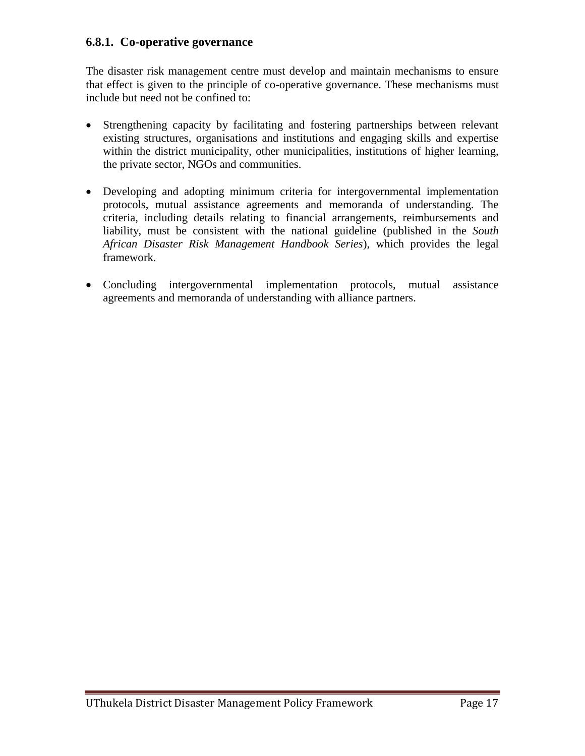#### **6.8.1. [Co-operative governance](file:///C:/Users/nqobizizwe.UTHUKELADM/AppData/Local/Microsoft/Windows/Temporary%20Internet%20Files/Content.Outlook/Documents/Disaster_Plan/AppData/Roaming/AppData/Local/Microsoft/Windows/AppData/Local/Temp/Application%20Data/Desktop/ECDRMF%20Version%203%20Final%20Version%20for%20public%20comment%20(as%20amended%2008%20June).doc#_Toc131562721#_Toc131562721)**

The disaster risk management centre must develop and maintain mechanisms to ensure that effect is given to the principle of co-operative governance. These mechanisms must include but need not be confined to:

- Strengthening capacity by facilitating and fostering partnerships between relevant existing structures, organisations and institutions and engaging skills and expertise within the district municipality, other municipalities, institutions of higher learning, the private sector, NGOs and communities.
- Developing and adopting minimum criteria for intergovernmental implementation protocols, mutual assistance agreements and memoranda of understanding. The criteria, including details relating to financial arrangements, reimbursements and liability, must be consistent with the national guideline (published in the *South African Disaster Risk Management Handbook Series*), which provides the legal framework.
- Concluding intergovernmental implementation protocols, mutual assistance agreements and memoranda of understanding with alliance partners.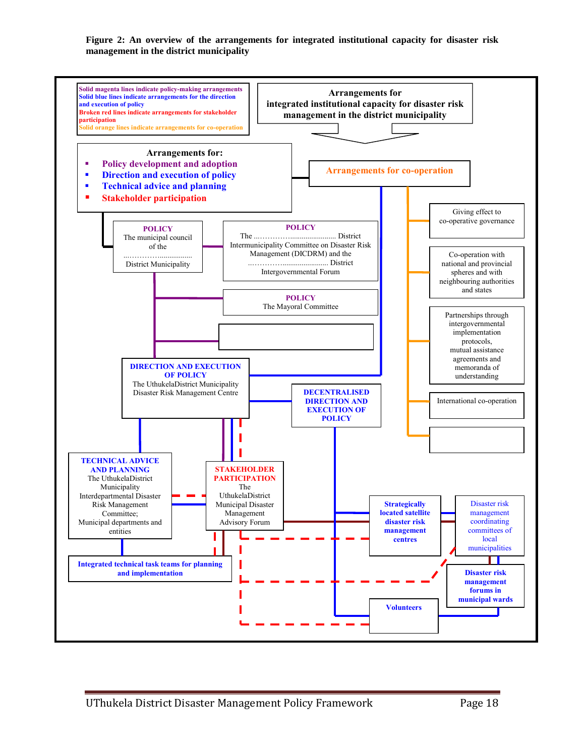**Figure 2: An overview of the arrangements for integrated institutional capacity for disaster risk management in the district municipality**

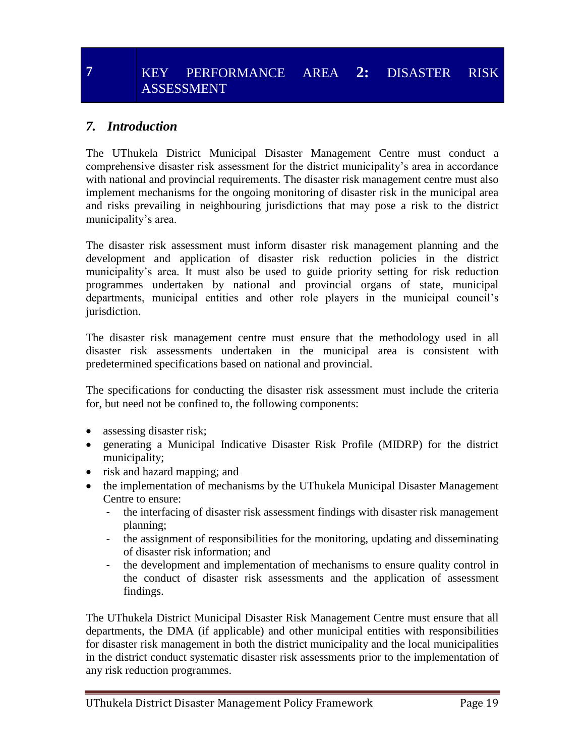# **7** KEY PERFORMANCE AREA **2:** DISASTER RISK ASSESSMENT

#### *7. Introduction*

The UThukela District Municipal Disaster Management Centre must conduct a comprehensive disaster risk assessment for the district municipality's area in accordance with national and provincial requirements. The disaster risk management centre must also implement mechanisms for the ongoing monitoring of disaster risk in the municipal area and risks prevailing in neighbouring jurisdictions that may pose a risk to the district municipality's area.

The disaster risk assessment must inform disaster risk management planning and the development and application of disaster risk reduction policies in the district municipality's area. It must also be used to guide priority setting for risk reduction programmes undertaken by national and provincial organs of state, municipal departments, municipal entities and other role players in the municipal council's jurisdiction.

The disaster risk management centre must ensure that the methodology used in all disaster risk assessments undertaken in the municipal area is consistent with predetermined specifications based on national and provincial.

The specifications for conducting the disaster risk assessment must include the criteria for, but need not be confined to, the following components:

- assessing disaster risk;
- generating a Municipal Indicative Disaster Risk Profile (MIDRP) for the district municipality;
- risk and hazard mapping; and
- the implementation of mechanisms by the UThukela Municipal Disaster Management Centre to ensure:
	- the interfacing of disaster risk assessment findings with disaster risk management planning;
	- the assignment of responsibilities for the monitoring, updating and disseminating of disaster risk information; and
	- the development and implementation of mechanisms to ensure quality control in the conduct of disaster risk assessments and the application of assessment findings.

The UThukela District Municipal Disaster Risk Management Centre must ensure that all departments, the DMA (if applicable) and other municipal entities with responsibilities for disaster risk management in both the district municipality and the local municipalities in the district conduct systematic disaster risk assessments prior to the implementation of any risk reduction programmes.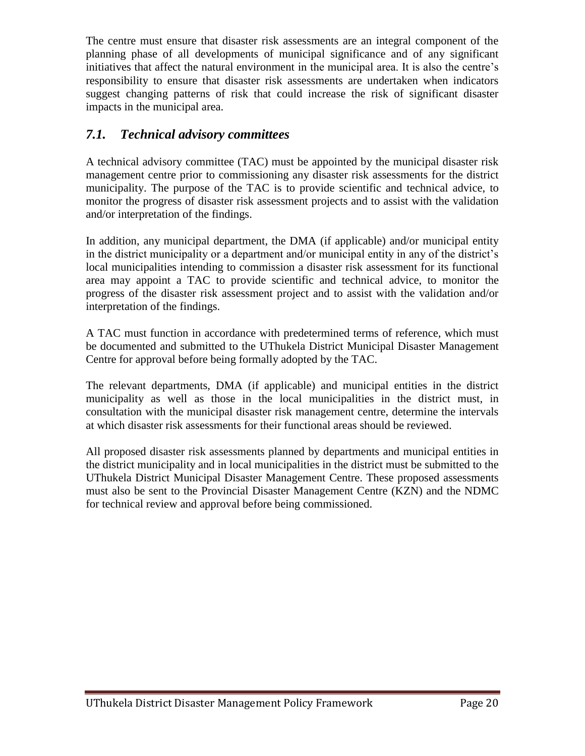The centre must ensure that disaster risk assessments are an integral component of the planning phase of all developments of municipal significance and of any significant initiatives that affect the natural environment in the municipal area. It is also the centre's responsibility to ensure that disaster risk assessments are undertaken when indicators suggest changing patterns of risk that could increase the risk of significant disaster impacts in the municipal area.

### *7.1. Technical advisory committees*

A technical advisory committee (TAC) must be appointed by the municipal disaster risk management centre prior to commissioning any disaster risk assessments for the district municipality. The purpose of the TAC is to provide scientific and technical advice, to monitor the progress of disaster risk assessment projects and to assist with the validation and/or interpretation of the findings.

In addition, any municipal department, the DMA (if applicable) and/or municipal entity in the district municipality or a department and/or municipal entity in any of the district's local municipalities intending to commission a disaster risk assessment for its functional area may appoint a TAC to provide scientific and technical advice, to monitor the progress of the disaster risk assessment project and to assist with the validation and/or interpretation of the findings.

A TAC must function in accordance with predetermined terms of reference, which must be documented and submitted to the UThukela District Municipal Disaster Management Centre for approval before being formally adopted by the TAC.

The relevant departments, DMA (if applicable) and municipal entities in the district municipality as well as those in the local municipalities in the district must, in consultation with the municipal disaster risk management centre, determine the intervals at which disaster risk assessments for their functional areas should be reviewed.

All proposed disaster risk assessments planned by departments and municipal entities in the district municipality and in local municipalities in the district must be submitted to the UThukela District Municipal Disaster Management Centre. These proposed assessments must also be sent to the Provincial Disaster Management Centre (KZN) and the NDMC for technical review and approval before being commissioned.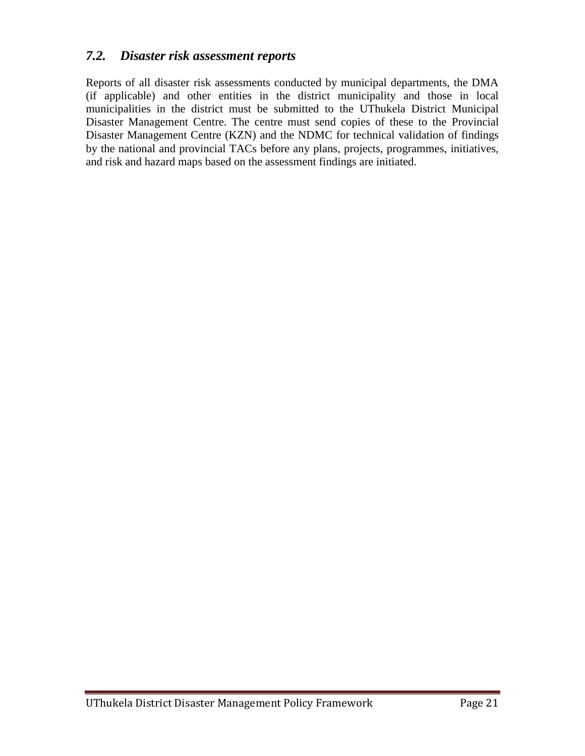#### *7.2. Disaster risk assessment reports*

Reports of all disaster risk assessments conducted by municipal departments, the DMA (if applicable) and other entities in the district municipality and those in local municipalities in the district must be submitted to the UThukela District Municipal Disaster Management Centre. The centre must send copies of these to the Provincial Disaster Management Centre (KZN) and the NDMC for technical validation of findings by the national and provincial TACs before any plans, projects, programmes, initiatives, and risk and hazard maps based on the assessment findings are initiated.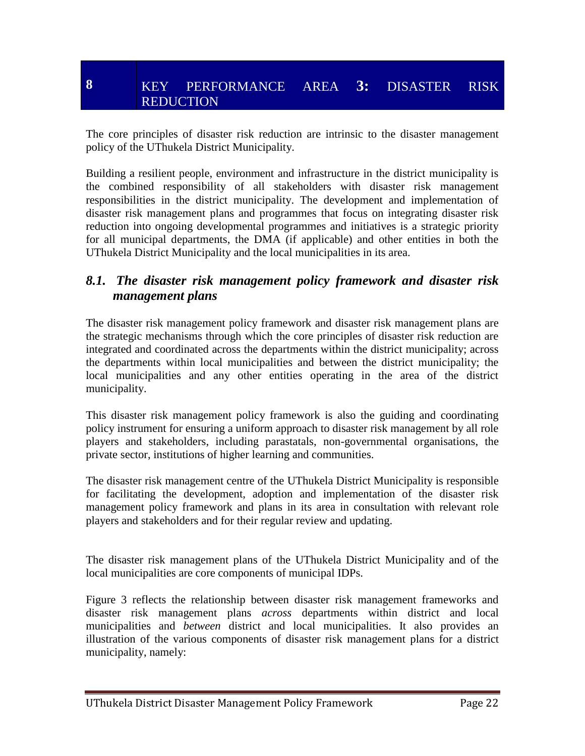# **8** KEY PERFORMANCE AREA **3:** DISASTER RISK REDUCTION

The core principles of disaster risk reduction are intrinsic to the disaster management policy of the UThukela District Municipality.

Building a resilient people, environment and infrastructure in the district municipality is the combined responsibility of all stakeholders with disaster risk management responsibilities in the district municipality. The development and implementation of disaster risk management plans and programmes that focus on integrating disaster risk reduction into ongoing developmental programmes and initiatives is a strategic priority for all municipal departments, the DMA (if applicable) and other entities in both the UThukela District Municipality and the local municipalities in its area.

#### *8.1. The disaster risk management policy framework and disaster risk management plans*

The disaster risk management policy framework and disaster risk management plans are the strategic mechanisms through which the core principles of disaster risk reduction are integrated and coordinated across the departments within the district municipality; across the departments within local municipalities and between the district municipality; the local municipalities and any other entities operating in the area of the district municipality.

This disaster risk management policy framework is also the guiding and coordinating policy instrument for ensuring a uniform approach to disaster risk management by all role players and stakeholders, including parastatals, non-governmental organisations, the private sector, institutions of higher learning and communities.

The disaster risk management centre of the UThukela District Municipality is responsible for facilitating the development, adoption and implementation of the disaster risk management policy framework and plans in its area in consultation with relevant role players and stakeholders and for their regular review and updating.

The disaster risk management plans of the UThukela District Municipality and of the local municipalities are core components of municipal IDPs.

Figure 3 reflects the relationship between disaster risk management frameworks and disaster risk management plans *across* departments within district and local municipalities and *between* district and local municipalities. It also provides an illustration of the various components of disaster risk management plans for a district municipality, namely: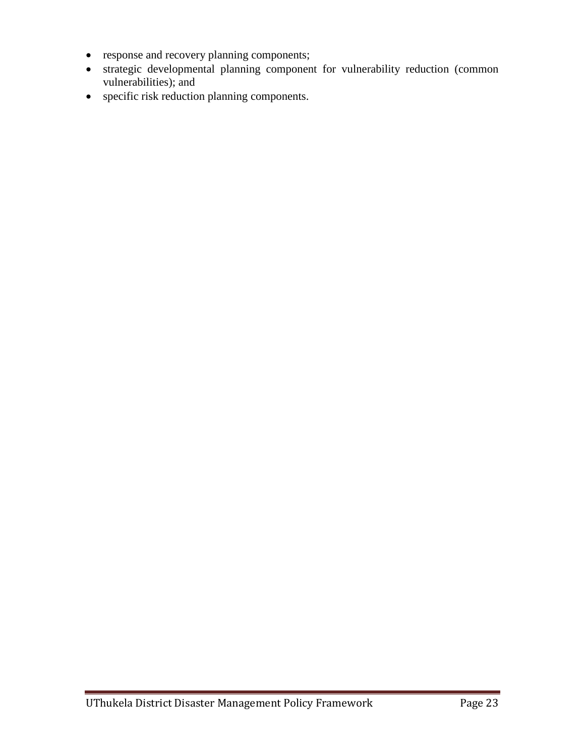- response and recovery planning components;
- strategic developmental planning component for vulnerability reduction (common vulnerabilities); and
- specific risk reduction planning components.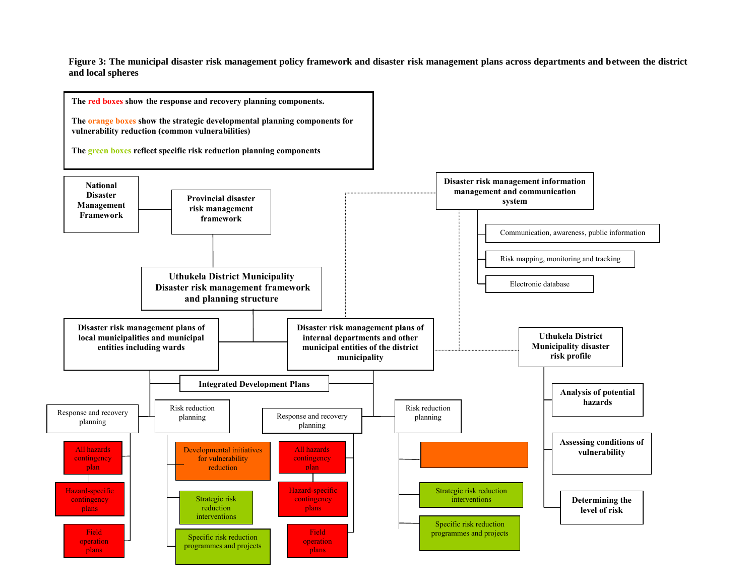**Figure 3: The municipal disaster risk management policy framework and disaster risk management plans across departments and between the district and local spheres**

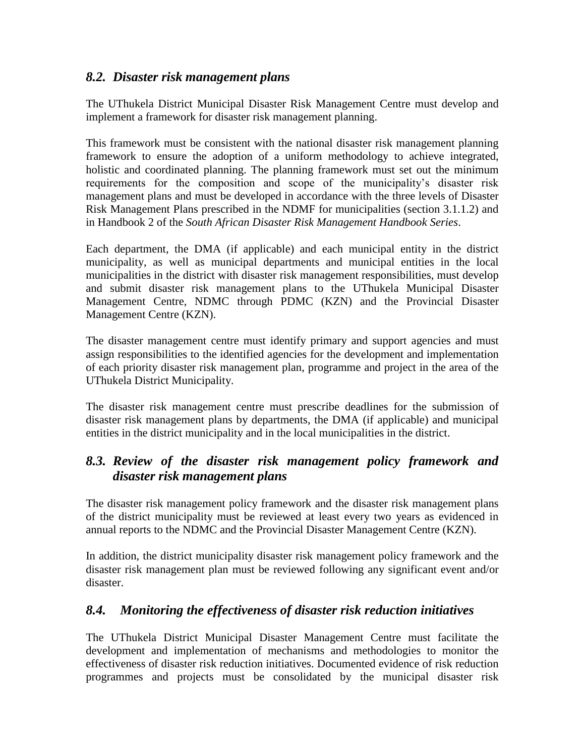#### *8.2. Disaster risk management plans*

The UThukela District Municipal Disaster Risk Management Centre must develop and implement a framework for disaster risk management planning.

This framework must be consistent with the national disaster risk management planning framework to ensure the adoption of a uniform methodology to achieve integrated, holistic and coordinated planning. The planning framework must set out the minimum requirements for the composition and scope of the municipality's disaster risk management plans and must be developed in accordance with the three levels of Disaster Risk Management Plans prescribed in the NDMF for municipalities (section 3.1.1.2) and in Handbook 2 of the *South African Disaster Risk Management Handbook Series*.

Each department, the DMA (if applicable) and each municipal entity in the district municipality, as well as municipal departments and municipal entities in the local municipalities in the district with disaster risk management responsibilities, must develop and submit disaster risk management plans to the UThukela Municipal Disaster Management Centre, NDMC through PDMC (KZN) and the Provincial Disaster Management Centre (KZN).

The disaster management centre must identify primary and support agencies and must assign responsibilities to the identified agencies for the development and implementation of each priority disaster risk management plan, programme and project in the area of the UThukela District Municipality.

The disaster risk management centre must prescribe deadlines for the submission of disaster risk management plans by departments, the DMA (if applicable) and municipal entities in the district municipality and in the local municipalities in the district.

# *8.3. Review of the disaster risk management policy framework and disaster risk management plans*

The disaster risk management policy framework and the disaster risk management plans of the district municipality must be reviewed at least every two years as evidenced in annual reports to the NDMC and the Provincial Disaster Management Centre (KZN).

In addition, the district municipality disaster risk management policy framework and the disaster risk management plan must be reviewed following any significant event and/or disaster.

#### *8.4. Monitoring the effectiveness of disaster risk reduction initiatives*

The UThukela District Municipal Disaster Management Centre must facilitate the development and implementation of mechanisms and methodologies to monitor the effectiveness of disaster risk reduction initiatives. Documented evidence of risk reduction programmes and projects must be consolidated by the municipal disaster risk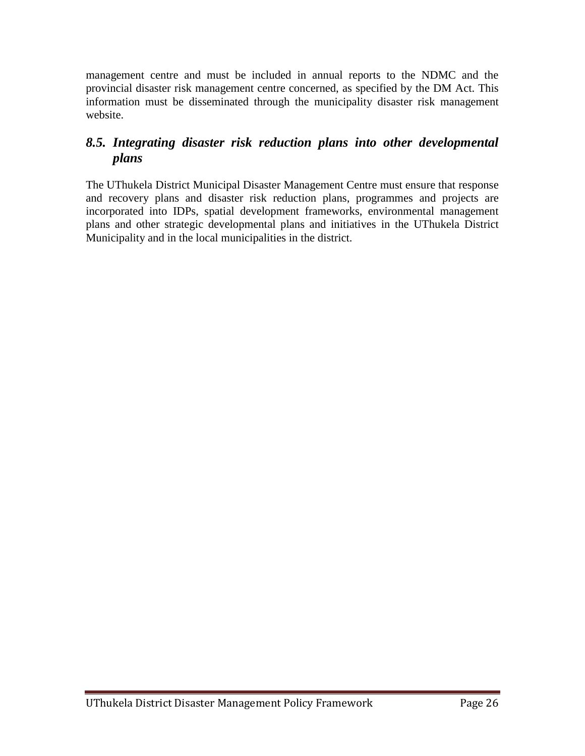management centre and must be included in annual reports to the NDMC and the provincial disaster risk management centre concerned, as specified by the DM Act. This information must be disseminated through the municipality disaster risk management website.

# *8.5. Integrating disaster risk reduction plans into other developmental plans*

The UThukela District Municipal Disaster Management Centre must ensure that response and recovery plans and disaster risk reduction plans, programmes and projects are incorporated into IDPs, spatial development frameworks, environmental management plans and other strategic developmental plans and initiatives in the UThukela District Municipality and in the local municipalities in the district.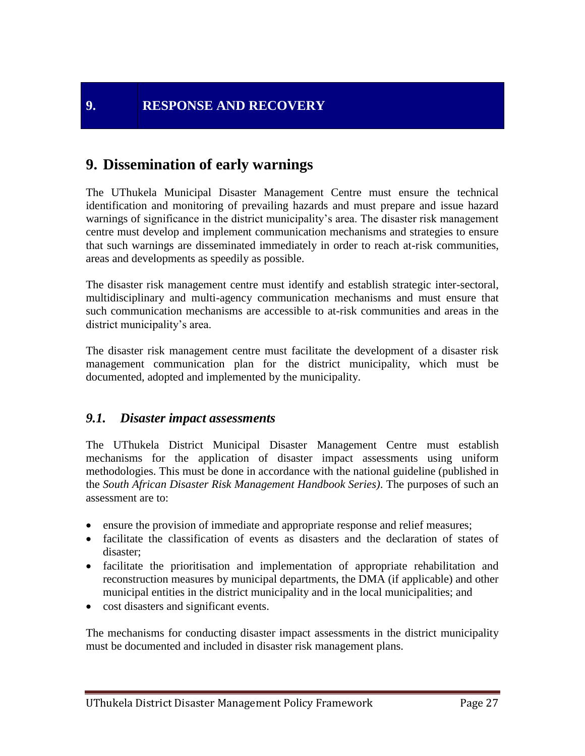# **9. Dissemination of early warnings**

The UThukela Municipal Disaster Management Centre must ensure the technical identification and monitoring of prevailing hazards and must prepare and issue hazard warnings of significance in the district municipality's area. The disaster risk management centre must develop and implement communication mechanisms and strategies to ensure that such warnings are disseminated immediately in order to reach at-risk communities, areas and developments as speedily as possible.

The disaster risk management centre must identify and establish strategic inter-sectoral, multidisciplinary and multi-agency communication mechanisms and must ensure that such communication mechanisms are accessible to at-risk communities and areas in the district municipality's area.

The disaster risk management centre must facilitate the development of a disaster risk management communication plan for the district municipality, which must be documented, adopted and implemented by the municipality.

#### *9.1. Disaster impact assessments*

The UThukela District Municipal Disaster Management Centre must establish mechanisms for the application of disaster impact assessments using uniform methodologies. This must be done in accordance with the national guideline (published in the *South African Disaster Risk Management Handbook Series)*. The purposes of such an assessment are to:

- ensure the provision of immediate and appropriate response and relief measures;
- facilitate the classification of events as disasters and the declaration of states of disaster;
- facilitate the prioritisation and implementation of appropriate rehabilitation and reconstruction measures by municipal departments, the DMA (if applicable) and other municipal entities in the district municipality and in the local municipalities; and
- cost disasters and significant events.

The mechanisms for conducting disaster impact assessments in the district municipality must be documented and included in disaster risk management plans.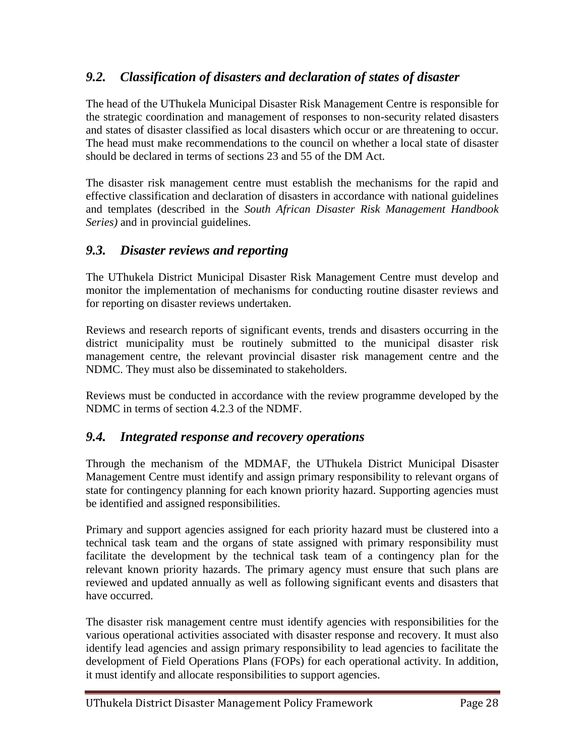# *9.2. Classification of disasters and declaration of states of disaster*

The head of the UThukela Municipal Disaster Risk Management Centre is responsible for the strategic coordination and management of responses to non-security related disasters and states of disaster classified as local disasters which occur or are threatening to occur. The head must make recommendations to the council on whether a local state of disaster should be declared in terms of sections 23 and 55 of the DM Act.

The disaster risk management centre must establish the mechanisms for the rapid and effective classification and declaration of disasters in accordance with national guidelines and templates (described in the *South African Disaster Risk Management Handbook Series)* and in provincial guidelines.

#### *9.3. Disaster reviews and reporting*

The UThukela District Municipal Disaster Risk Management Centre must develop and monitor the implementation of mechanisms for conducting routine disaster reviews and for reporting on disaster reviews undertaken.

Reviews and research reports of significant events, trends and disasters occurring in the district municipality must be routinely submitted to the municipal disaster risk management centre, the relevant provincial disaster risk management centre and the NDMC. They must also be disseminated to stakeholders.

Reviews must be conducted in accordance with the review programme developed by the NDMC in terms of section 4.2.3 of the NDMF.

#### *9.4. Integrated response and recovery operations*

Through the mechanism of the MDMAF, the UThukela District Municipal Disaster Management Centre must identify and assign primary responsibility to relevant organs of state for contingency planning for each known priority hazard. Supporting agencies must be identified and assigned responsibilities.

Primary and support agencies assigned for each priority hazard must be clustered into a technical task team and the organs of state assigned with primary responsibility must facilitate the development by the technical task team of a contingency plan for the relevant known priority hazards. The primary agency must ensure that such plans are reviewed and updated annually as well as following significant events and disasters that have occurred.

The disaster risk management centre must identify agencies with responsibilities for the various operational activities associated with disaster response and recovery. It must also identify lead agencies and assign primary responsibility to lead agencies to facilitate the development of Field Operations Plans (FOPs) for each operational activity. In addition, it must identify and allocate responsibilities to support agencies.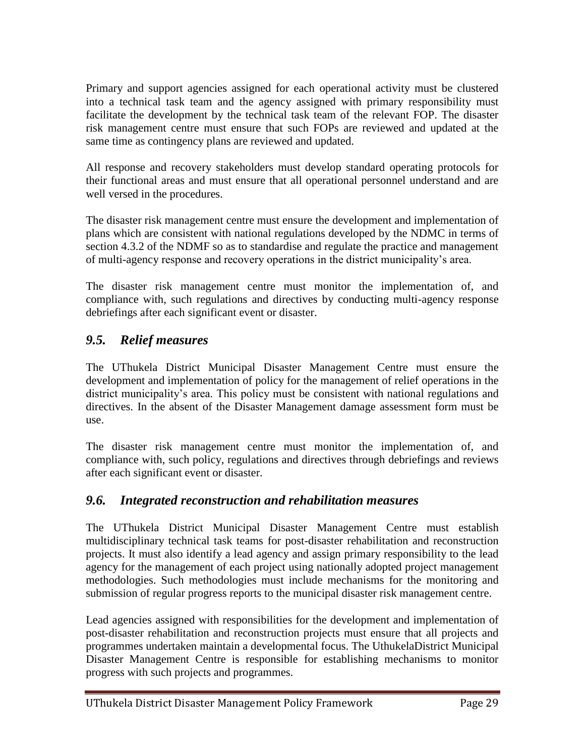Primary and support agencies assigned for each operational activity must be clustered into a technical task team and the agency assigned with primary responsibility must facilitate the development by the technical task team of the relevant FOP. The disaster risk management centre must ensure that such FOPs are reviewed and updated at the same time as contingency plans are reviewed and updated.

All response and recovery stakeholders must develop standard operating protocols for their functional areas and must ensure that all operational personnel understand and are well versed in the procedures.

The disaster risk management centre must ensure the development and implementation of plans which are consistent with national regulations developed by the NDMC in terms of section 4.3.2 of the NDMF so as to standardise and regulate the practice and management of multi-agency response and recovery operations in the district municipality's area.

The disaster risk management centre must monitor the implementation of, and compliance with, such regulations and directives by conducting multi-agency response debriefings after each significant event or disaster.

# *9.5. Relief measures*

The UThukela District Municipal Disaster Management Centre must ensure the development and implementation of policy for the management of relief operations in the district municipality's area. This policy must be consistent with national regulations and directives. In the absent of the Disaster Management damage assessment form must be use.

The disaster risk management centre must monitor the implementation of, and compliance with, such policy, regulations and directives through debriefings and reviews after each significant event or disaster.

# *9.6. Integrated reconstruction and rehabilitation measures*

The UThukela District Municipal Disaster Management Centre must establish multidisciplinary technical task teams for post-disaster rehabilitation and reconstruction projects. It must also identify a lead agency and assign primary responsibility to the lead agency for the management of each project using nationally adopted project management methodologies. Such methodologies must include mechanisms for the monitoring and submission of regular progress reports to the municipal disaster risk management centre.

Lead agencies assigned with responsibilities for the development and implementation of post-disaster rehabilitation and reconstruction projects must ensure that all projects and programmes undertaken maintain a developmental focus. The UthukelaDistrict Municipal Disaster Management Centre is responsible for establishing mechanisms to monitor progress with such projects and programmes.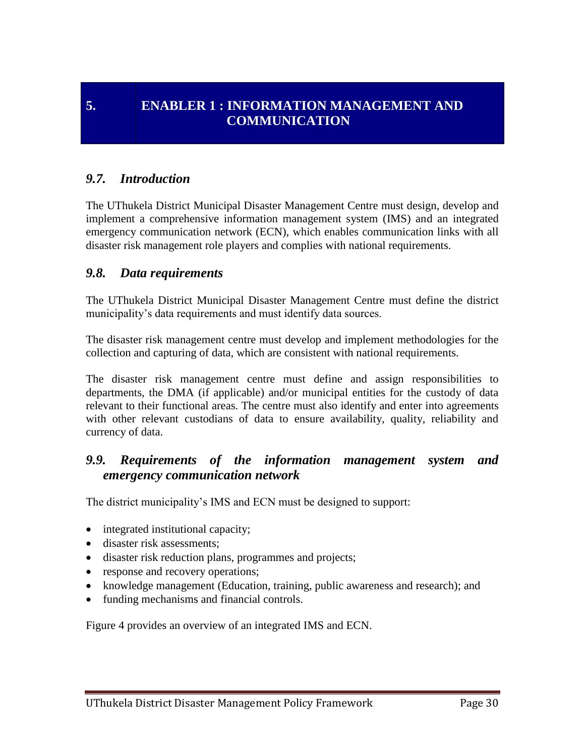# **5. ENABLER 1 : INFORMATION MANAGEMENT AND COMMUNICATION**

#### *9.7. Introduction*

The UThukela District Municipal Disaster Management Centre must design, develop and implement a comprehensive information management system (IMS) and an integrated emergency communication network (ECN), which enables communication links with all disaster risk management role players and complies with national requirements.

#### *9.8. Data requirements*

The UThukela District Municipal Disaster Management Centre must define the district municipality's data requirements and must identify data sources.

The disaster risk management centre must develop and implement methodologies for the collection and capturing of data, which are consistent with national requirements.

The disaster risk management centre must define and assign responsibilities to departments, the DMA (if applicable) and/or municipal entities for the custody of data relevant to their functional areas. The centre must also identify and enter into agreements with other relevant custodians of data to ensure availability, quality, reliability and currency of data.

#### *9.9. Requirements of the information management system and emergency communication network*

The district municipality's IMS and ECN must be designed to support:

- integrated institutional capacity;
- disaster risk assessments:
- disaster risk reduction plans, programmes and projects;
- response and recovery operations;
- knowledge management (Education, training, public awareness and research); and
- funding mechanisms and financial controls.

Figure 4 provides an overview of an integrated IMS and ECN.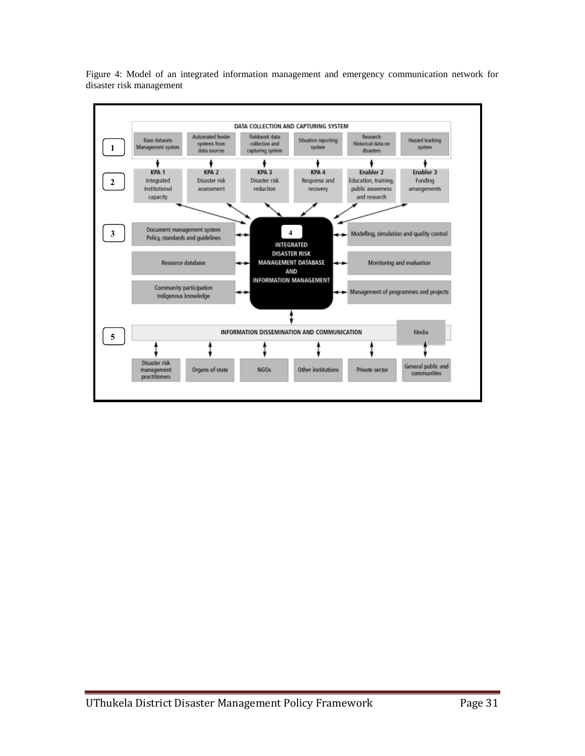

Figure 4: Model of an integrated information management and emergency communication network for disaster risk management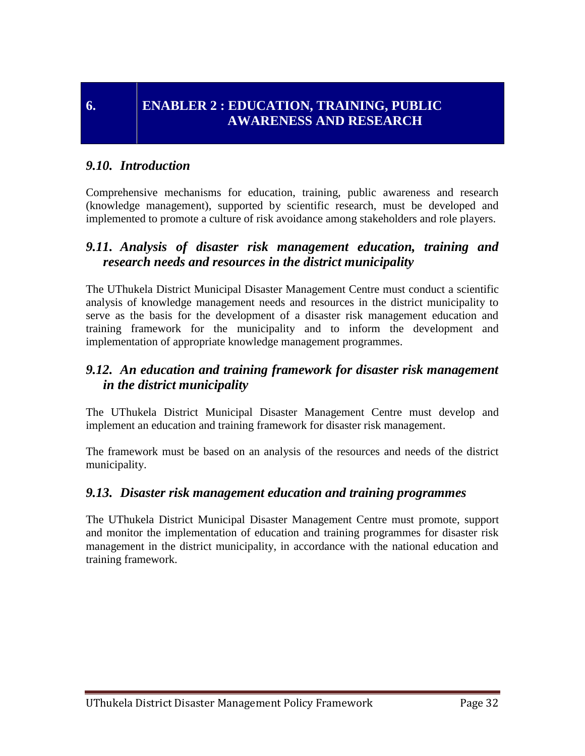#### *9.10. Introduction*

Comprehensive mechanisms for education, training, public awareness and research (knowledge management), supported by scientific research, must be developed and implemented to promote a culture of risk avoidance among stakeholders and role players.

#### *9.11. Analysis of disaster risk management education, training and research needs and resources in the district municipality*

The UThukela District Municipal Disaster Management Centre must conduct a scientific analysis of knowledge management needs and resources in the district municipality to serve as the basis for the development of a disaster risk management education and training framework for the municipality and to inform the development and implementation of appropriate knowledge management programmes.

#### *9.12. An education and training framework for disaster risk management in the district municipality*

The UThukela District Municipal Disaster Management Centre must develop and implement an education and training framework for disaster risk management.

The framework must be based on an analysis of the resources and needs of the district municipality.

#### *9.13. Disaster risk management education and training programmes*

The UThukela District Municipal Disaster Management Centre must promote, support and monitor the implementation of education and training programmes for disaster risk management in the district municipality, in accordance with the national education and training framework.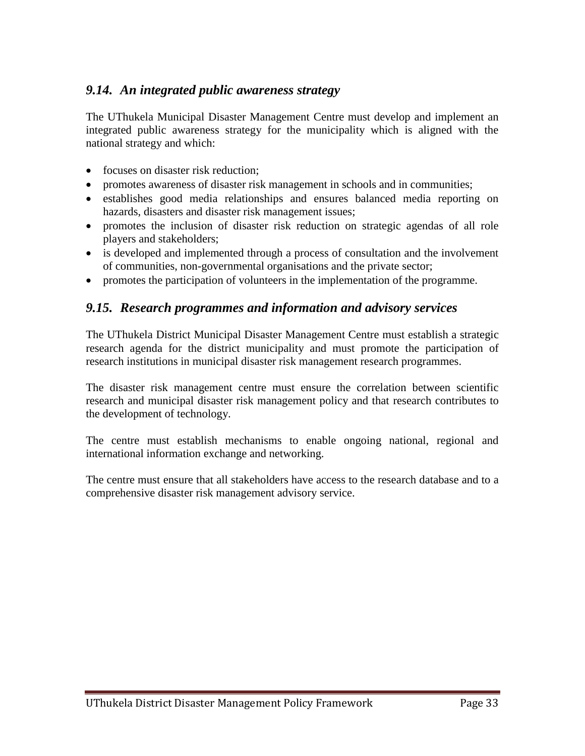### *9.14. An integrated public awareness strategy*

The UThukela Municipal Disaster Management Centre must develop and implement an integrated public awareness strategy for the municipality which is aligned with the national strategy and which:

- focuses on disaster risk reduction;
- promotes awareness of disaster risk management in schools and in communities;
- establishes good media relationships and ensures balanced media reporting on hazards, disasters and disaster risk management issues;
- promotes the inclusion of disaster risk reduction on strategic agendas of all role players and stakeholders;
- is developed and implemented through a process of consultation and the involvement of communities, non-governmental organisations and the private sector;
- promotes the participation of volunteers in the implementation of the programme.

#### *9.15. Research programmes and information and advisory services*

The UThukela District Municipal Disaster Management Centre must establish a strategic research agenda for the district municipality and must promote the participation of research institutions in municipal disaster risk management research programmes.

The disaster risk management centre must ensure the correlation between scientific research and municipal disaster risk management policy and that research contributes to the development of technology.

The centre must establish mechanisms to enable ongoing national, regional and international information exchange and networking.

The centre must ensure that all stakeholders have access to the research database and to a comprehensive disaster risk management advisory service.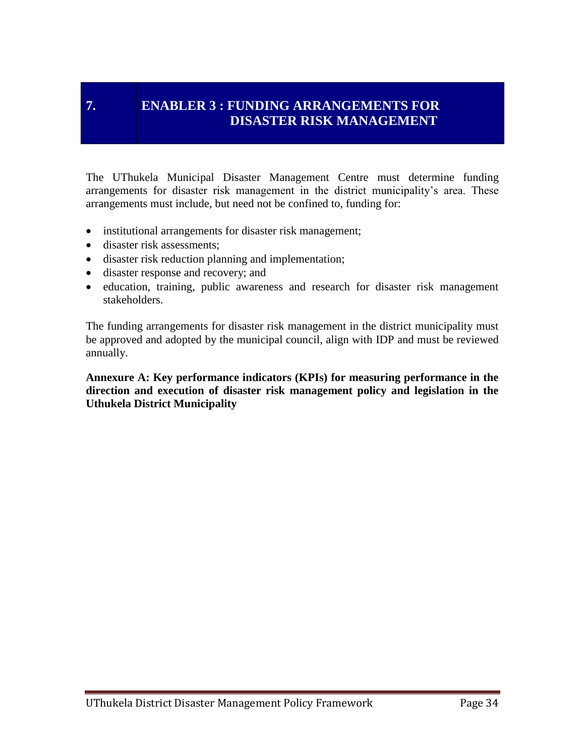## **7. ENABLER 3 : FUNDING ARRANGEMENTS FOR DISASTER RISK MANAGEMENT**

The UThukela Municipal Disaster Management Centre must determine funding arrangements for disaster risk management in the district municipality's area. These arrangements must include, but need not be confined to, funding for:

- institutional arrangements for disaster risk management;
- disaster risk assessments;
- disaster risk reduction planning and implementation;
- disaster response and recovery; and
- education, training, public awareness and research for disaster risk management stakeholders.

The funding arrangements for disaster risk management in the district municipality must be approved and adopted by the municipal council, align with IDP and must be reviewed annually.

**Annexure A: Key performance indicators (KPIs) for measuring performance in the direction and execution of disaster risk management policy and legislation in the Uthukela District Municipality**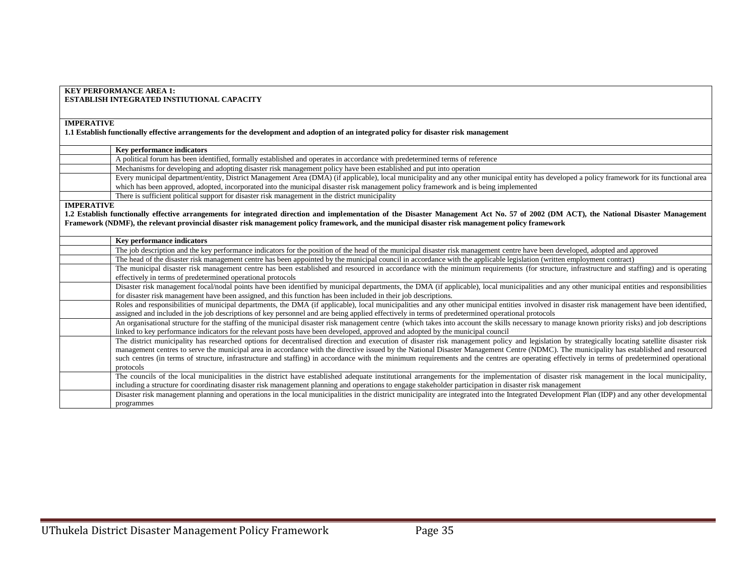| <b>KEY PERFORMANCE AREA 1:</b>                                                                                                                                                                    |
|---------------------------------------------------------------------------------------------------------------------------------------------------------------------------------------------------|
| <b>ESTABLISH INTEGRATED INSTIUTIONAL CAPACITY</b>                                                                                                                                                 |
|                                                                                                                                                                                                   |
|                                                                                                                                                                                                   |
| <b>IMPERATIVE</b>                                                                                                                                                                                 |
| 1.1 Establish functionally effective arrangements for the development and adoption of an integrated policy for disaster risk management                                                           |
|                                                                                                                                                                                                   |
| Key performance indicators                                                                                                                                                                        |
| A political forum has been identified, formally established and operates in accordance with predetermined terms of reference                                                                      |
| Mechanisms for developing and adopting disaster risk management policy have been established and put into operation                                                                               |
| Every municipal department/entity, District Management Area (DMA) (if applicable), local municipality and any other municipal entity has developed a policy framework for its functional area     |
| which has been approved, adopted, incorporated into the municipal disaster risk management policy framework and is being implemented                                                              |
| There is sufficient political support for disaster risk management in the district municipality                                                                                                   |
| <b>IMPERATIVE</b>                                                                                                                                                                                 |
| 1.2 Establish functionally effective arrangements for integrated direction and implementation of the Disaster Management Act No. 57 of 2002 (DM ACT), the National Disaster Management            |
| Framework (NDMF), the relevant provincial disaster risk management policy framework, and the municipal disaster risk management policy framework                                                  |
|                                                                                                                                                                                                   |
| <b>Key performance indicators</b>                                                                                                                                                                 |
| The job description and the key performance indicators for the position of the head of the municipal disaster risk management centre have been developed, adopted and approved                    |
| The head of the disaster risk management centre has been appointed by the municipal council in accordance with the applicable legislation (written employment contract)                           |
| The municipal disaster risk management centre has been established and resourced in accordance with the minimum requirements (for structure, infrastructure and staffing) and is operating        |
| effectively in terms of predetermined operational protocols                                                                                                                                       |
| Disaster risk management focal/nodal points have been identified by municipal departments, the DMA (if applicable), local municipalities and any other municipal entities and responsibilities    |
| for disaster risk management have been assigned, and this function has been included in their job descriptions.                                                                                   |
| Roles and responsibilities of municipal departments, the DMA (if applicable), local municipalities and any other municipal entities involved in disaster risk management have been identified,    |
| assigned and included in the job descriptions of key personnel and are being applied effectively in terms of predetermined operational protocols                                                  |
| An organisational structure for the staffing of the municipal disaster risk management centre (which takes into account the skills necessary to manage known priority risks) and job descriptions |
| linked to key performance indicators for the relevant posts have been developed, approved and adopted by the municipal council                                                                    |
| The district municipality has researched options for decentralised direction and execution of disaster risk management policy and legislation by strategically locating satellite disaster risk   |
| management centres to serve the municipal area in accordance with the directive issued by the National Disaster Management Centre (NDMC). The municipality has established and resourced          |
| such centres (in terms of structure, infrastructure and staffing) in accordance with the minimum requirements and the centres are operating effectively in terms of predetermined operational     |
| protocols                                                                                                                                                                                         |
| The councils of the local municipalities in the district have established adequate institutional arrangements for the implementation of disaster risk management in the local municipality,       |
| including a structure for coordinating disaster risk management planning and operations to engage stakeholder participation in disaster risk management                                           |
| Disaster risk management planning and operations in the local municipalities in the district municipality are integrated into the Integrated Development Plan (IDP) and any other developmental   |
| programmes                                                                                                                                                                                        |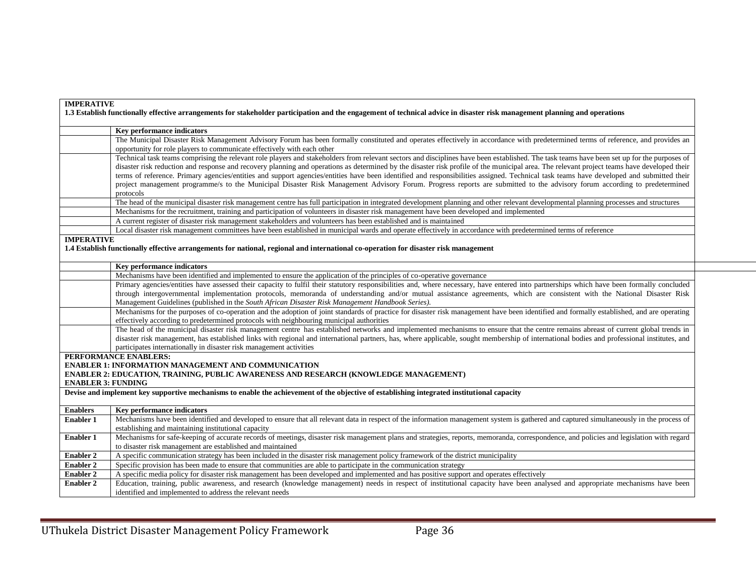| <b>IMPERATIVE</b>         |                                                                                                                                                                                             |
|---------------------------|---------------------------------------------------------------------------------------------------------------------------------------------------------------------------------------------|
|                           | 1.3 Establish functionally effective arrangements for stakeholder participation and the engagement of technical advice in disaster risk management planning and operations                  |
|                           |                                                                                                                                                                                             |
|                           | Key performance indicators                                                                                                                                                                  |
|                           | The Municipal Disaster Risk Management Advisory Forum has been formally constituted and operates effectively in accordance with predetermined terms of reference, and provides an           |
|                           | opportunity for role players to communicate effectively with each other                                                                                                                     |
|                           | Technical task teams comprising the relevant role players and stakeholders from relevant sectors and disciplines have been established. The task teams have been set up for the purposes of |
|                           | disaster risk reduction and response and recovery planning and operations as determined by the disaster risk profile of the municipal area. The relevant project teams have developed their |
|                           | terms of reference. Primary agencies/entities and support agencies/entities have been identified and responsibilities assigned. Technical task teams have developed and submitted their     |
|                           | project management programme/s to the Municipal Disaster Risk Management Advisory Forum. Progress reports are submitted to the advisory forum according to predetermined                    |
|                           | protocols                                                                                                                                                                                   |
|                           | The head of the municipal disaster risk management centre has full participation in integrated development planning and other relevant developmental planning processes and structures      |
|                           | Mechanisms for the recruitment, training and participation of volunteers in disaster risk management have been developed and implemented                                                    |
|                           | A current register of disaster risk management stakeholders and volunteers has been established and is maintained                                                                           |
|                           | Local disaster risk management committees have been established in municipal wards and operate effectively in accordance with predetermined terms of reference                              |
| <b>IMPERATIVE</b>         |                                                                                                                                                                                             |
|                           | 1.4 Establish functionally effective arrangements for national, regional and international co-operation for disaster risk management                                                        |
|                           |                                                                                                                                                                                             |
|                           | <b>Key performance indicators</b>                                                                                                                                                           |
|                           | Mechanisms have been identified and implemented to ensure the application of the principles of co-operative governance                                                                      |
|                           | Primary agencies/entities have assessed their capacity to fulfil their statutory responsibilities and, where necessary, have entered into partnerships which have been formally concluded   |
|                           | through intergovernmental implementation protocols, memoranda of understanding and/or mutual assistance agreements, which are consistent with the National Disaster Risk                    |
|                           | Management Guidelines (published in the South African Disaster Risk Management Handbook Series).                                                                                            |
|                           | Mechanisms for the purposes of co-operation and the adoption of joint standards of practice for disaster risk management have been identified and formally established, and are operating   |
|                           | effectively according to predetermined protocols with neighbouring municipal authorities                                                                                                    |
|                           | The head of the municipal disaster risk management centre has established networks and implemented mechanisms to ensure that the centre remains abreast of current global trends in         |
|                           | disaster risk management, has established links with regional and international partners, has, where applicable, sought membership of international bodies and professional institutes, and |
|                           | participates internationally in disaster risk management activities                                                                                                                         |
|                           | PERFORMANCE ENABLERS:                                                                                                                                                                       |
|                           | <b>ENABLER 1: INFORMATION MANAGEMENT AND COMMUNICATION</b>                                                                                                                                  |
| <b>ENABLER 3: FUNDING</b> | ENABLER 2: EDUCATION, TRAINING, PUBLIC AWARENESS AND RESEARCH (KNOWLEDGE MANAGEMENT)                                                                                                        |
|                           | Devise and implement key supportive mechanisms to enable the achievement of the objective of establishing integrated institutional capacity                                                 |
|                           |                                                                                                                                                                                             |
| <b>Enablers</b>           | <b>Key performance indicators</b>                                                                                                                                                           |
| <b>Enabler 1</b>          | Mechanisms have been identified and developed to ensure that all relevant data in respect of the information management system is gathered and captured simultaneously in the process of    |
|                           | establishing and maintaining institutional capacity                                                                                                                                         |
| <b>Enabler 1</b>          | Mechanisms for safe-keeping of accurate records of meetings, disaster risk management plans and strategies, reports, memoranda, correspondence, and policies and legislation with regard    |
|                           | to disaster risk management are established and maintained                                                                                                                                  |
| <b>Enabler 2</b>          | A specific communication strategy has been included in the disaster risk management policy framework of the district municipality                                                           |
| <b>Enabler 2</b>          | Specific provision has been made to ensure that communities are able to participate in the communication strategy                                                                           |
| <b>Enabler 2</b>          | A specific media policy for disaster risk management has been developed and implemented and has positive support and operates effectively                                                   |
| <b>Enabler 2</b>          | Education, training, public awareness, and research (knowledge management) needs in respect of institutional capacity have been analysed and appropriate mechanisms have been               |
|                           | identified and implemented to address the relevant needs                                                                                                                                    |
|                           |                                                                                                                                                                                             |

÷.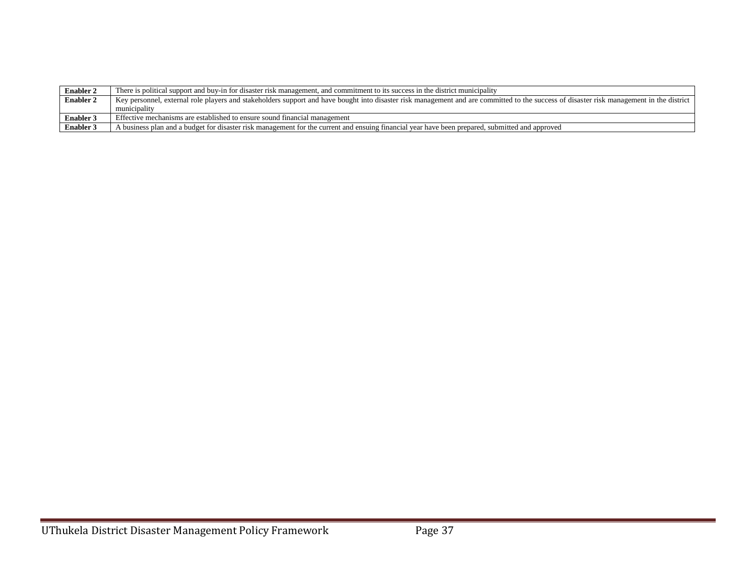| <b>Enabler 2</b> | There is political support and buy-in for disaster risk management, and commitment to its success in the district municipality                                                           |
|------------------|------------------------------------------------------------------------------------------------------------------------------------------------------------------------------------------|
| <b>Enabler 2</b> | Key personnel, external role players and stakeholders support and have bought into disaster risk management and are committed to the success of disaster risk management in the district |
|                  | municipality                                                                                                                                                                             |
| <b>Enabler 3</b> | Effective mechanisms are established to ensure sound financial management                                                                                                                |
| <b>Enabler 3</b> | A business plan and a budget for disaster risk management for the current and ensuing financial year have been prepared, submitted and approved                                          |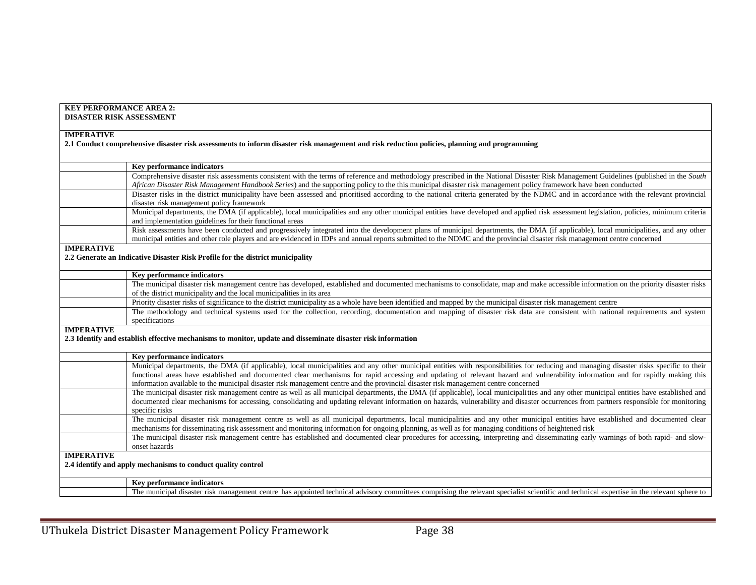| <b>KEY PERFORMANCE AREA 2:</b><br><b>DISASTER RISK ASSESSMENT</b>                                                                                                                                                                                                                                                                                                                                                                                                                                                |
|------------------------------------------------------------------------------------------------------------------------------------------------------------------------------------------------------------------------------------------------------------------------------------------------------------------------------------------------------------------------------------------------------------------------------------------------------------------------------------------------------------------|
| <b>IMPERATIVE</b><br>2.1 Conduct comprehensive disaster risk assessments to inform disaster risk management and risk reduction policies, planning and programming                                                                                                                                                                                                                                                                                                                                                |
| Key performance indicators                                                                                                                                                                                                                                                                                                                                                                                                                                                                                       |
| Comprehensive disaster risk assessments consistent with the terms of reference and methodology prescribed in the National Disaster Risk Management Guidelines (published in the South<br>African Disaster Risk Management Handbook Series) and the supporting policy to the this municipal disaster risk management policy framework have been conducted                                                                                                                                                         |
| Disaster risks in the district municipality have been assessed and prioritised according to the national criteria generated by the NDMC and in accordance with the relevant provincial<br>disaster risk management policy framework                                                                                                                                                                                                                                                                              |
| Municipal departments, the DMA (if applicable), local municipalities and any other municipal entities have developed and applied risk assessment legislation, policies, minimum criteria<br>and implementation guidelines for their functional areas                                                                                                                                                                                                                                                             |
| Risk assessments have been conducted and progressively integrated into the development plans of municipal departments, the DMA (if applicable), local municipalities, and any other<br>municipal entities and other role players and are evidenced in IDPs and annual reports submitted to the NDMC and the provincial disaster risk management centre concerned                                                                                                                                                 |
| <b>IMPERATIVE</b><br>2.2 Generate an Indicative Disaster Risk Profile for the district municipality                                                                                                                                                                                                                                                                                                                                                                                                              |
| Key performance indicators                                                                                                                                                                                                                                                                                                                                                                                                                                                                                       |
| The municipal disaster risk management centre has developed, established and documented mechanisms to consolidate, map and make accessible information on the priority disaster risks<br>of the district municipality and the local municipalities in its area                                                                                                                                                                                                                                                   |
| Priority disaster risks of significance to the district municipality as a whole have been identified and mapped by the municipal disaster risk management centre                                                                                                                                                                                                                                                                                                                                                 |
| The methodology and technical systems used for the collection, recording, documentation and mapping of disaster risk data are consistent with national requirements and system<br>specifications                                                                                                                                                                                                                                                                                                                 |
| <b>IMPERATIVE</b><br>2.3 Identify and establish effective mechanisms to monitor, update and disseminate disaster risk information                                                                                                                                                                                                                                                                                                                                                                                |
| Key performance indicators                                                                                                                                                                                                                                                                                                                                                                                                                                                                                       |
| Municipal departments, the DMA (if applicable), local municipalities and any other municipal entities with responsibilities for reducing and managing disaster risks specific to their<br>functional areas have established and documented clear mechanisms for rapid accessing and updating of relevant hazard and vulnerability information and for rapidly making this<br>information available to the municipal disaster risk management centre and the provincial disaster risk management centre concerned |
| The municipal disaster risk management centre as well as all municipal departments, the DMA (if applicable), local municipalities and any other municipal entities have established and<br>documented clear mechanisms for accessing, consolidating and updating relevant information on hazards, vulnerability and disaster occurrences from partners responsible for monitoring<br>specific risks                                                                                                              |
| The municipal disaster risk management centre as well as all municipal departments, local municipalities and any other municipal entities have established and documented clear<br>mechanisms for disseminating risk assessment and monitoring information for ongoing planning, as well as for managing conditions of heightened risk                                                                                                                                                                           |
| The municipal disaster risk management centre has established and documented clear procedures for accessing, interpreting and disseminating early warnings of both rapid- and slow-<br>onset hazards                                                                                                                                                                                                                                                                                                             |
| <b>IMPERATIVE</b><br>2.4 identify and apply mechanisms to conduct quality control                                                                                                                                                                                                                                                                                                                                                                                                                                |
| Key performance indicators                                                                                                                                                                                                                                                                                                                                                                                                                                                                                       |
| The municipal disaster risk management centre has appointed technical advisory committees comprising the relevant specialist scientific and technical expertise in the relevant sphere to                                                                                                                                                                                                                                                                                                                        |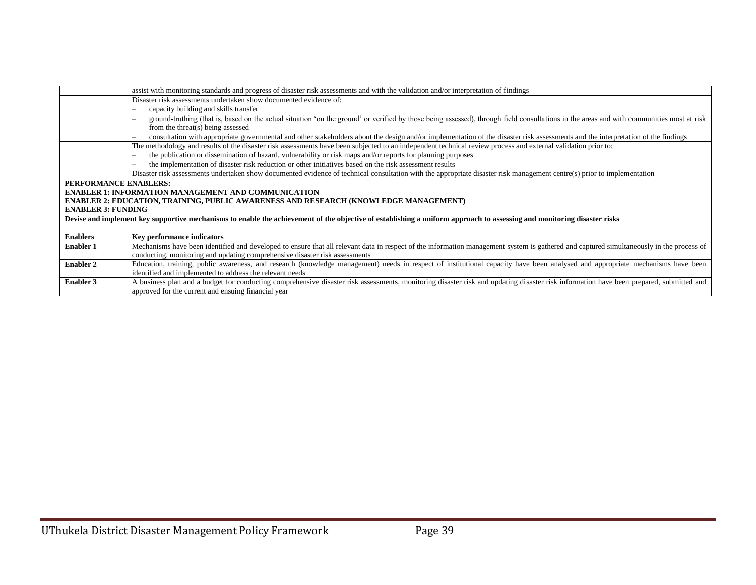|                           | assist with monitoring standards and progress of disaster risk assessments and with the validation and/or interpretation of findings                                                                                 |
|---------------------------|----------------------------------------------------------------------------------------------------------------------------------------------------------------------------------------------------------------------|
|                           | Disaster risk assessments undertaken show documented evidence of:                                                                                                                                                    |
|                           | capacity building and skills transfer<br>$\overline{\phantom{a}}$                                                                                                                                                    |
|                           | ground-truthing (that is, based on the actual situation 'on the ground' or verified by those being assessed), through field consultations in the areas and with communities most at risk<br>$\overline{\phantom{a}}$ |
|                           | from the threat(s) being assessed                                                                                                                                                                                    |
|                           | consultation with appropriate governmental and other stakeholders about the design and/or implementation of the disaster risk assessments and the interpretation of the findings<br>$\overline{\phantom{a}}$         |
|                           | The methodology and results of the disaster risk assessments have been subjected to an independent technical review process and external validation prior to:                                                        |
|                           | the publication or dissemination of hazard, vulnerability or risk maps and/or reports for planning purposes<br>$\overline{\phantom{a}}$                                                                              |
|                           | the implementation of disaster risk reduction or other initiatives based on the risk assessment results<br>$\sim$                                                                                                    |
|                           | Disaster risk assessments undertaken show documented evidence of technical consultation with the appropriate disaster risk management centre(s) prior to implementation                                              |
| PERFORMANCE ENABLERS:     |                                                                                                                                                                                                                      |
|                           | <b>ENABLER 1: INFORMATION MANAGEMENT AND COMMUNICATION</b>                                                                                                                                                           |
|                           | ENABLER 2: EDUCATION, TRAINING, PUBLIC AWARENESS AND RESEARCH (KNOWLEDGE MANAGEMENT)                                                                                                                                 |
| <b>ENABLER 3: FUNDING</b> |                                                                                                                                                                                                                      |
|                           | Devise and implement key supportive mechanisms to enable the achievement of the objective of establishing a uniform approach to assessing and monitoring disaster risks                                              |
|                           |                                                                                                                                                                                                                      |
| <b>Enablers</b>           | <b>Key performance indicators</b>                                                                                                                                                                                    |
| <b>Enabler 1</b>          | Mechanisms have been identified and developed to ensure that all relevant data in respect of the information management system is gathered and captured simultaneously in the process of                             |
|                           | conducting, monitoring and updating comprehensive disaster risk assessments                                                                                                                                          |
| <b>Enabler 2</b>          | Education, training, public awareness, and research (knowledge management) needs in respect of institutional capacity have been analysed and appropriate mechanisms have been                                        |
|                           | identified and implemented to address the relevant needs                                                                                                                                                             |
| <b>Enabler 3</b>          | A business plan and a budget for conducting comprehensive disaster risk assessments, monitoring disaster risk and updating disaster risk information have been prepared, submitted and                               |
|                           | approved for the current and ensuing financial year                                                                                                                                                                  |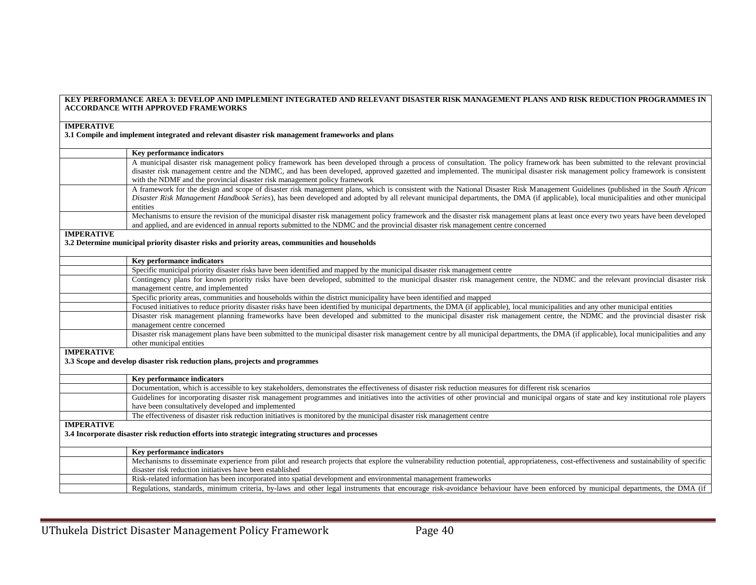|                   | KEY PERFORMANCE AREA 3: DEVELOP AND IMPLEMENT INTEGRATED AND RELEVANT DISASTER RISK MANAGEMENT PLANS AND RISK REDUCTION PROGRAMMES IN<br><b>ACCORDANCE WITH APPROVED FRAMEWORKS</b>                                                                                                                                                                                                                                                            |
|-------------------|------------------------------------------------------------------------------------------------------------------------------------------------------------------------------------------------------------------------------------------------------------------------------------------------------------------------------------------------------------------------------------------------------------------------------------------------|
|                   |                                                                                                                                                                                                                                                                                                                                                                                                                                                |
| <b>IMPERATIVE</b> |                                                                                                                                                                                                                                                                                                                                                                                                                                                |
|                   | 3.1 Compile and implement integrated and relevant disaster risk management frameworks and plans                                                                                                                                                                                                                                                                                                                                                |
|                   | Key performance indicators                                                                                                                                                                                                                                                                                                                                                                                                                     |
|                   | A municipal disaster risk management policy framework has been developed through a process of consultation. The policy framework has been submitted to the relevant provincial<br>disaster risk management centre and the NDMC, and has been developed, approved gazetted and implemented. The municipal disaster risk management policy framework is consistent<br>with the NDMF and the provincial disaster risk management policy framework |
|                   | A framework for the design and scope of disaster risk management plans, which is consistent with the National Disaster Risk Management Guidelines (published in the South African<br>Disaster Risk Management Handbook Series), has been developed and adopted by all relevant municipal departments, the DMA (if applicable), local municipalities and other municipal<br>entities                                                            |
|                   | Mechanisms to ensure the revision of the municipal disaster risk management policy framework and the disaster risk management plans at least once every two years have been developed<br>and applied, and are evidenced in annual reports submitted to the NDMC and the provincial disaster risk management centre concerned                                                                                                                   |
| <b>IMPERATIVE</b> |                                                                                                                                                                                                                                                                                                                                                                                                                                                |
|                   | 3.2 Determine municipal priority disaster risks and priority areas, communities and households                                                                                                                                                                                                                                                                                                                                                 |
|                   | Key performance indicators                                                                                                                                                                                                                                                                                                                                                                                                                     |
|                   | Specific municipal priority disaster risks have been identified and mapped by the municipal disaster risk management centre                                                                                                                                                                                                                                                                                                                    |
|                   | Contingency plans for known priority risks have been developed, submitted to the municipal disaster risk management centre, the NDMC and the relevant provincial disaster risk<br>management centre, and implemented                                                                                                                                                                                                                           |
|                   | Specific priority areas, communities and households within the district municipality have been identified and mapped                                                                                                                                                                                                                                                                                                                           |
|                   | Focused initiatives to reduce priority disaster risks have been identified by municipal departments, the DMA (if applicable), local municipalities and any other municipal entities                                                                                                                                                                                                                                                            |
|                   | Disaster risk management planning frameworks have been developed and submitted to the municipal disaster risk management centre, the NDMC and the provincial disaster risk<br>management centre concerned                                                                                                                                                                                                                                      |
|                   | Disaster risk management plans have been submitted to the municipal disaster risk management centre by all municipal departments, the DMA (if applicable), local municipalities and any<br>other municipal entities                                                                                                                                                                                                                            |
| <b>IMPERATIVE</b> |                                                                                                                                                                                                                                                                                                                                                                                                                                                |
|                   | 3.3 Scope and develop disaster risk reduction plans, projects and programmes                                                                                                                                                                                                                                                                                                                                                                   |
|                   | Key performance indicators                                                                                                                                                                                                                                                                                                                                                                                                                     |
|                   | Documentation, which is accessible to key stakeholders, demonstrates the effectiveness of disaster risk reduction measures for different risk scenarios                                                                                                                                                                                                                                                                                        |
|                   | Guidelines for incorporating disaster risk management programmes and initiatives into the activities of other provincial and municipal organs of state and key institutional role players                                                                                                                                                                                                                                                      |
|                   | have been consultatively developed and implemented                                                                                                                                                                                                                                                                                                                                                                                             |
|                   | The effectiveness of disaster risk reduction initiatives is monitored by the municipal disaster risk management centre                                                                                                                                                                                                                                                                                                                         |
| <b>IMPERATIVE</b> | 3.4 Incorporate disaster risk reduction efforts into strategic integrating structures and processes                                                                                                                                                                                                                                                                                                                                            |
|                   | Key performance indicators                                                                                                                                                                                                                                                                                                                                                                                                                     |
|                   | Mechanisms to disseminate experience from pilot and research projects that explore the vulnerability reduction potential, appropriateness, cost-effectiveness and sustainability of specific<br>disaster risk reduction initiatives have been established                                                                                                                                                                                      |
|                   | Risk-related information has been incorporated into spatial development and environmental management frameworks                                                                                                                                                                                                                                                                                                                                |
|                   | Regulations, standards, minimum criteria, by-laws and other legal instruments that encourage risk-avoidance behaviour have been enforced by municipal departments, the DMA (if                                                                                                                                                                                                                                                                 |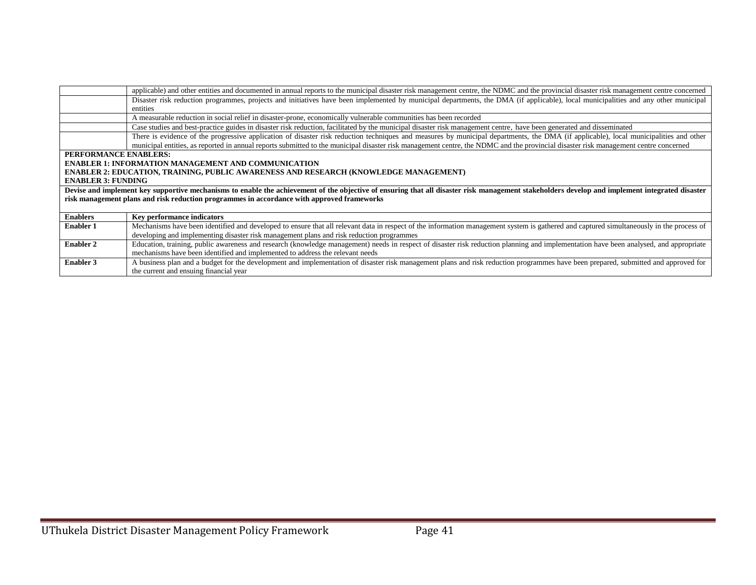|                           | applicable) and other entities and documented in annual reports to the municipal disaster risk management centre, the NDMC and the provincial disaster risk management centre concerned        |
|---------------------------|------------------------------------------------------------------------------------------------------------------------------------------------------------------------------------------------|
|                           | Disaster risk reduction programmes, projects and initiatives have been implemented by municipal departments, the DMA (if applicable), local municipalities and any other municipal             |
|                           | entities                                                                                                                                                                                       |
|                           | A measurable reduction in social relief in disaster-prone, economically vulnerable communities has been recorded                                                                               |
|                           | Case studies and best-practice guides in disaster risk reduction, facilitated by the municipal disaster risk management centre, have been generated and disseminated                           |
|                           | There is evidence of the progressive application of disaster risk reduction techniques and measures by municipal departments, the DMA (if applicable), local municipalities and other          |
|                           | municipal entities, as reported in annual reports submitted to the municipal disaster risk management centre, the NDMC and the provincial disaster risk management centre concerned            |
| PERFORMANCE ENABLERS:     |                                                                                                                                                                                                |
|                           | <b>ENABLER 1: INFORMATION MANAGEMENT AND COMMUNICATION</b>                                                                                                                                     |
|                           | <b>ENABLER 2: EDUCATION, TRAINING, PUBLIC AWARENESS AND RESEARCH (KNOWLEDGE MANAGEMENT)</b>                                                                                                    |
| <b>ENABLER 3: FUNDING</b> |                                                                                                                                                                                                |
|                           | Devise and implement key supportive mechanisms to enable the achievement of the objective of ensuring that all disaster risk management stakeholders develop and implement integrated disaster |
|                           | risk management plans and risk reduction programmes in accordance with approved frameworks                                                                                                     |
|                           |                                                                                                                                                                                                |
| <b>Enablers</b>           | Key performance indicators                                                                                                                                                                     |
| <b>Enabler 1</b>          | Mechanisms have been identified and developed to ensure that all relevant data in respect of the information management system is gathered and captured simultaneously in the process of       |
|                           | developing and implementing disaster risk management plans and risk reduction programmes                                                                                                       |
| <b>Enabler 2</b>          | Education, training, public awareness and research (knowledge management) needs in respect of disaster risk reduction planning and implementation have been analysed, and appropriate          |
|                           | mechanisms have been identified and implemented to address the relevant needs                                                                                                                  |
| <b>Enabler 3</b>          | A business plan and a budget for the development and implementation of disaster risk management plans and risk reduction programmes have been prepared, submitted and approved for             |
|                           | the current and ensuing financial year                                                                                                                                                         |

÷.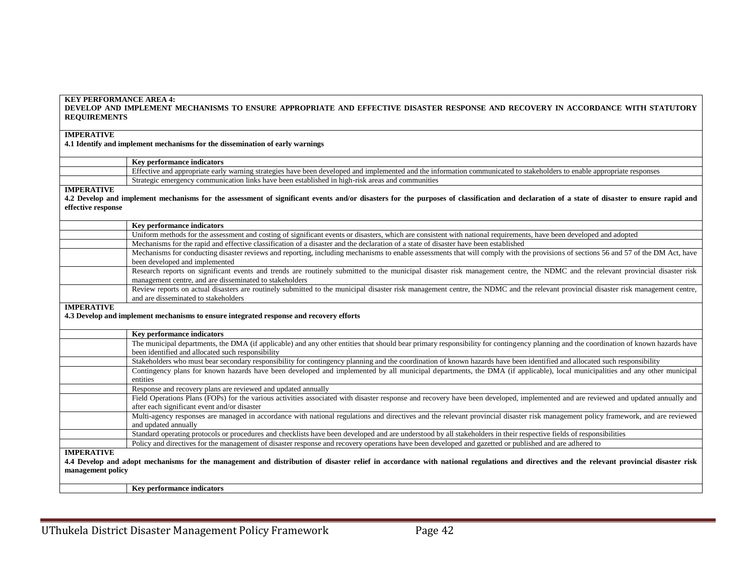| <b>IMPERATIVE</b>   | 4.1 Identify and implement mechanisms for the dissemination of early warnings                                                                                                                                                              |
|---------------------|--------------------------------------------------------------------------------------------------------------------------------------------------------------------------------------------------------------------------------------------|
|                     |                                                                                                                                                                                                                                            |
|                     | Key performance indicators                                                                                                                                                                                                                 |
|                     | Effective and appropriate early warning strategies have been developed and implemented and the information communicated to stakeholders to enable appropriate responses                                                                    |
|                     | Strategic emergency communication links have been established in high-risk areas and communities                                                                                                                                           |
| <b>IMPERATIVE</b>   |                                                                                                                                                                                                                                            |
|                     | 4.2 Develop and implement mechanisms for the assessment of significant events and/or disasters for the purposes of classification and declaration of a state of disaster to ensure rapid and                                               |
| effective response  |                                                                                                                                                                                                                                            |
|                     |                                                                                                                                                                                                                                            |
|                     | Key performance indicators                                                                                                                                                                                                                 |
|                     | Uniform methods for the assessment and costing of significant events or disasters, which are consistent with national requirements, have been developed and adopted                                                                        |
|                     | Mechanisms for the rapid and effective classification of a disaster and the declaration of a state of disaster have been established                                                                                                       |
|                     | Mechanisms for conducting disaster reviews and reporting, including mechanisms to enable assessments that will comply with the provisions of sections 56 and 57 of the DM Act, have<br>been developed and implemented                      |
|                     | Research reports on significant events and trends are routinely submitted to the municipal disaster risk management centre, the NDMC and the relevant provincial disaster risk<br>management centre, and are disseminated to stakeholders  |
|                     | Review reports on actual disasters are routinely submitted to the municipal disaster risk management centre, the NDMC and the relevant provincial disaster risk management centre,<br>and are disseminated to stakeholders                 |
| <b>IMPERATIVE</b>   | 4.3 Develop and implement mechanisms to ensure integrated response and recovery efforts                                                                                                                                                    |
|                     |                                                                                                                                                                                                                                            |
|                     | <b>Key performance indicators</b>                                                                                                                                                                                                          |
|                     | The municipal departments, the DMA (if applicable) and any other entities that should bear primary responsibility for contingency planning and the coordination of known hazards have<br>been identified and allocated such responsibility |
|                     | Stakeholders who must bear secondary responsibility for contingency planning and the coordination of known hazards have been identified and allocated such responsibility                                                                  |
|                     | Contingency plans for known hazards have been developed and implemented by all municipal departments, the DMA (if applicable), local municipalities and any other municipal<br>entities                                                    |
|                     | Response and recovery plans are reviewed and updated annually                                                                                                                                                                              |
|                     | Field Operations Plans (FOPs) for the various activities associated with disaster response and recovery have been developed, implemented and are reviewed and updated annually and                                                         |
|                     | after each significant event and/or disaster                                                                                                                                                                                               |
|                     | Multi-agency responses are managed in accordance with national regulations and directives and the relevant provincial disaster risk management policy framework, and are reviewed<br>and updated annually                                  |
|                     | Standard operating protocols or procedures and checklists have been developed and are understood by all stakeholders in their respective fields of responsibilities                                                                        |
|                     | Policy and directives for the management of disaster response and recovery operations have been developed and gazetted or published and are adhered to                                                                                     |
| <b>IMDED A TIVE</b> |                                                                                                                                                                                                                                            |

**DEVELOP AND IMPLEMENT MECHANISMS TO ENSURE APPROPRIATE AND EFFECTIVE DISASTER RESPONSE AND RECOVERY IN ACCORDANCE WITH STATUTORY** 

#### **IMPERATIVE**

**KEY PERFORMANCE AREA 4:**

**REQUIREMENTS**

**4.4 Develop and adopt mechanisms for the management and distribution of disaster relief in accordance with national regulations and directives and the relevant provincial disaster risk management policy**

**Key performance indicators**